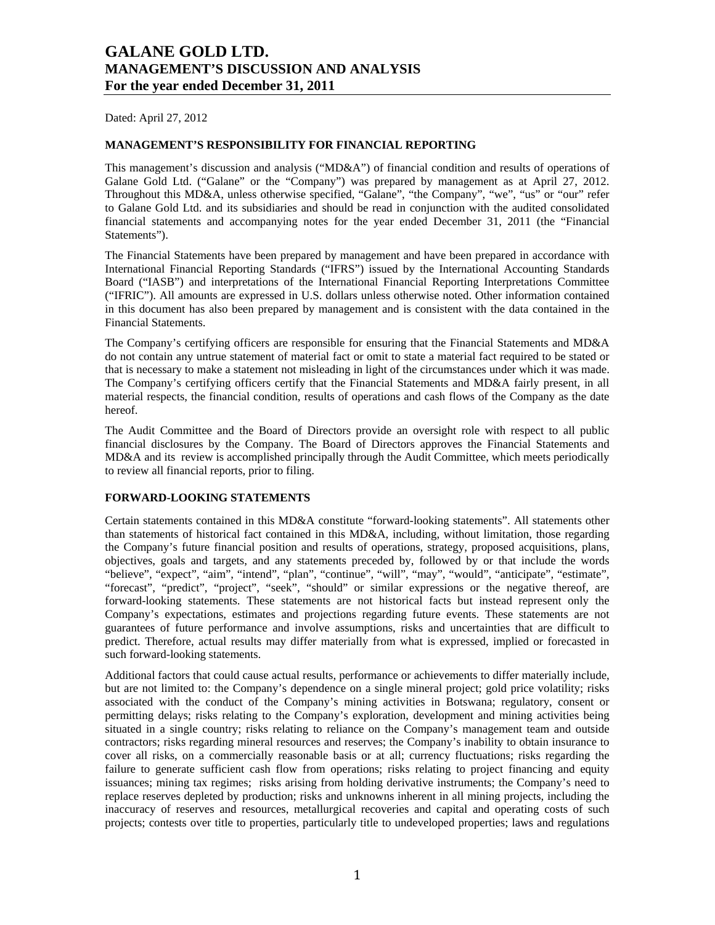Dated: April 27, 2012

### **MANAGEMENT'S RESPONSIBILITY FOR FINANCIAL REPORTING**

This management's discussion and analysis ("MD&A") of financial condition and results of operations of Galane Gold Ltd. ("Galane" or the "Company") was prepared by management as at April 27, 2012. Throughout this MD&A, unless otherwise specified, "Galane", "the Company", "we", "us" or "our" refer to Galane Gold Ltd. and its subsidiaries and should be read in conjunction with the audited consolidated financial statements and accompanying notes for the year ended December 31, 2011 (the "Financial Statements").

The Financial Statements have been prepared by management and have been prepared in accordance with International Financial Reporting Standards ("IFRS") issued by the International Accounting Standards Board ("IASB") and interpretations of the International Financial Reporting Interpretations Committee ("IFRIC"). All amounts are expressed in U.S. dollars unless otherwise noted. Other information contained in this document has also been prepared by management and is consistent with the data contained in the Financial Statements.

The Company's certifying officers are responsible for ensuring that the Financial Statements and MD&A do not contain any untrue statement of material fact or omit to state a material fact required to be stated or that is necessary to make a statement not misleading in light of the circumstances under which it was made. The Company's certifying officers certify that the Financial Statements and MD&A fairly present, in all material respects, the financial condition, results of operations and cash flows of the Company as the date hereof.

The Audit Committee and the Board of Directors provide an oversight role with respect to all public financial disclosures by the Company. The Board of Directors approves the Financial Statements and MD&A and its review is accomplished principally through the Audit Committee, which meets periodically to review all financial reports, prior to filing.

## **FORWARD-LOOKING STATEMENTS**

Certain statements contained in this MD&A constitute "forward-looking statements". All statements other than statements of historical fact contained in this MD&A, including, without limitation, those regarding the Company's future financial position and results of operations, strategy, proposed acquisitions, plans, objectives, goals and targets, and any statements preceded by, followed by or that include the words "believe", "expect", "aim", "intend", "plan", "continue", "will", "may", "would", "anticipate", "estimate", "forecast", "predict", "project", "seek", "should" or similar expressions or the negative thereof, are forward-looking statements. These statements are not historical facts but instead represent only the Company's expectations, estimates and projections regarding future events. These statements are not guarantees of future performance and involve assumptions, risks and uncertainties that are difficult to predict. Therefore, actual results may differ materially from what is expressed, implied or forecasted in such forward-looking statements.

Additional factors that could cause actual results, performance or achievements to differ materially include, but are not limited to: the Company's dependence on a single mineral project; gold price volatility; risks associated with the conduct of the Company's mining activities in Botswana; regulatory, consent or permitting delays; risks relating to the Company's exploration, development and mining activities being situated in a single country; risks relating to reliance on the Company's management team and outside contractors; risks regarding mineral resources and reserves; the Company's inability to obtain insurance to cover all risks, on a commercially reasonable basis or at all; currency fluctuations; risks regarding the failure to generate sufficient cash flow from operations; risks relating to project financing and equity issuances; mining tax regimes; risks arising from holding derivative instruments; the Company's need to replace reserves depleted by production; risks and unknowns inherent in all mining projects, including the inaccuracy of reserves and resources, metallurgical recoveries and capital and operating costs of such projects; contests over title to properties, particularly title to undeveloped properties; laws and regulations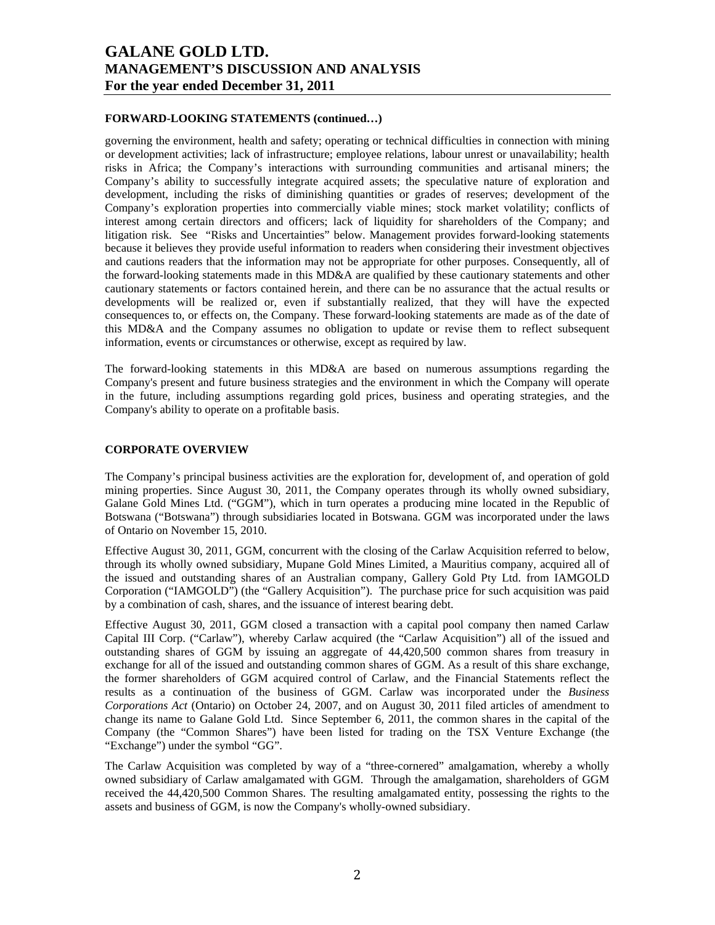### **FORWARD-LOOKING STATEMENTS (continued…)**

governing the environment, health and safety; operating or technical difficulties in connection with mining or development activities; lack of infrastructure; employee relations, labour unrest or unavailability; health risks in Africa; the Company's interactions with surrounding communities and artisanal miners; the Company's ability to successfully integrate acquired assets; the speculative nature of exploration and development, including the risks of diminishing quantities or grades of reserves; development of the Company's exploration properties into commercially viable mines; stock market volatility; conflicts of interest among certain directors and officers; lack of liquidity for shareholders of the Company; and litigation risk. See "Risks and Uncertainties" below. Management provides forward-looking statements because it believes they provide useful information to readers when considering their investment objectives and cautions readers that the information may not be appropriate for other purposes. Consequently, all of the forward-looking statements made in this MD&A are qualified by these cautionary statements and other cautionary statements or factors contained herein, and there can be no assurance that the actual results or developments will be realized or, even if substantially realized, that they will have the expected consequences to, or effects on, the Company. These forward-looking statements are made as of the date of this MD&A and the Company assumes no obligation to update or revise them to reflect subsequent information, events or circumstances or otherwise, except as required by law.

The forward-looking statements in this MD&A are based on numerous assumptions regarding the Company's present and future business strategies and the environment in which the Company will operate in the future, including assumptions regarding gold prices, business and operating strategies, and the Company's ability to operate on a profitable basis.

#### **CORPORATE OVERVIEW**

The Company's principal business activities are the exploration for, development of, and operation of gold mining properties. Since August 30, 2011, the Company operates through its wholly owned subsidiary, Galane Gold Mines Ltd. ("GGM"), which in turn operates a producing mine located in the Republic of Botswana ("Botswana") through subsidiaries located in Botswana. GGM was incorporated under the laws of Ontario on November 15, 2010.

Effective August 30, 2011, GGM, concurrent with the closing of the Carlaw Acquisition referred to below, through its wholly owned subsidiary, Mupane Gold Mines Limited, a Mauritius company, acquired all of the issued and outstanding shares of an Australian company, Gallery Gold Pty Ltd. from IAMGOLD Corporation ("IAMGOLD") (the "Gallery Acquisition"). The purchase price for such acquisition was paid by a combination of cash, shares, and the issuance of interest bearing debt.

Effective August 30, 2011, GGM closed a transaction with a capital pool company then named Carlaw Capital III Corp. ("Carlaw"), whereby Carlaw acquired (the "Carlaw Acquisition") all of the issued and outstanding shares of GGM by issuing an aggregate of 44,420,500 common shares from treasury in exchange for all of the issued and outstanding common shares of GGM. As a result of this share exchange, the former shareholders of GGM acquired control of Carlaw, and the Financial Statements reflect the results as a continuation of the business of GGM. Carlaw was incorporated under the *Business Corporations Act* (Ontario) on October 24, 2007, and on August 30, 2011 filed articles of amendment to change its name to Galane Gold Ltd. Since September 6, 2011, the common shares in the capital of the Company (the "Common Shares") have been listed for trading on the TSX Venture Exchange (the "Exchange") under the symbol "GG".

The Carlaw Acquisition was completed by way of a "three-cornered" amalgamation, whereby a wholly owned subsidiary of Carlaw amalgamated with GGM. Through the amalgamation, shareholders of GGM received the 44,420,500 Common Shares. The resulting amalgamated entity, possessing the rights to the assets and business of GGM, is now the Company's wholly-owned subsidiary.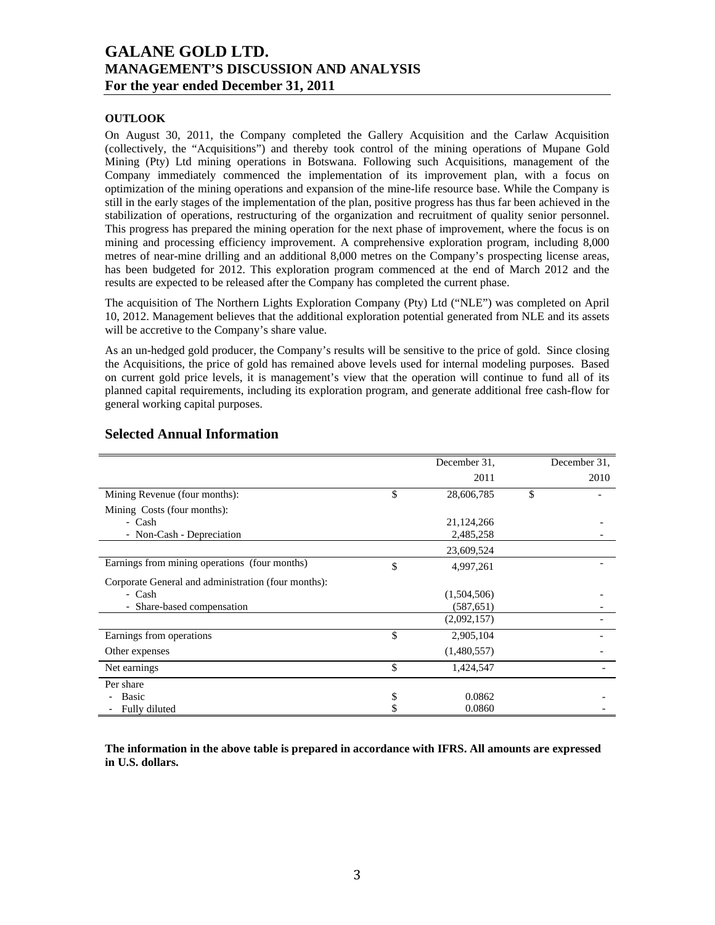## **OUTLOOK**

On August 30, 2011, the Company completed the Gallery Acquisition and the Carlaw Acquisition (collectively, the "Acquisitions") and thereby took control of the mining operations of Mupane Gold Mining (Pty) Ltd mining operations in Botswana. Following such Acquisitions, management of the Company immediately commenced the implementation of its improvement plan, with a focus on optimization of the mining operations and expansion of the mine-life resource base. While the Company is still in the early stages of the implementation of the plan, positive progress has thus far been achieved in the stabilization of operations, restructuring of the organization and recruitment of quality senior personnel. This progress has prepared the mining operation for the next phase of improvement, where the focus is on mining and processing efficiency improvement. A comprehensive exploration program, including 8,000 metres of near-mine drilling and an additional 8,000 metres on the Company's prospecting license areas, has been budgeted for 2012. This exploration program commenced at the end of March 2012 and the results are expected to be released after the Company has completed the current phase.

The acquisition of The Northern Lights Exploration Company (Pty) Ltd ("NLE") was completed on April 10, 2012. Management believes that the additional exploration potential generated from NLE and its assets will be accretive to the Company's share value.

As an un-hedged gold producer, the Company's results will be sensitive to the price of gold. Since closing the Acquisitions, the price of gold has remained above levels used for internal modeling purposes. Based on current gold price levels, it is management's view that the operation will continue to fund all of its planned capital requirements, including its exploration program, and generate additional free cash-flow for general working capital purposes.

|                                                     | December 31,     | December 31. |
|-----------------------------------------------------|------------------|--------------|
|                                                     | 2011             | 2010         |
| Mining Revenue (four months):                       | \$<br>28,606,785 | \$           |
| Mining Costs (four months):                         |                  |              |
| - Cash                                              | 21,124,266       |              |
| - Non-Cash - Depreciation                           | 2,485,258        |              |
|                                                     | 23,609,524       |              |
| Earnings from mining operations (four months)       | \$<br>4,997,261  |              |
| Corporate General and administration (four months): |                  |              |
| - Cash                                              | (1,504,506)      |              |
| - Share-based compensation                          | (587, 651)       |              |
|                                                     | (2,092,157)      |              |
| Earnings from operations                            | \$<br>2,905,104  |              |
| Other expenses                                      | (1,480,557)      |              |
| Net earnings                                        | \$<br>1,424,547  |              |
| Per share                                           |                  |              |
| Basic                                               | \$<br>0.0862     |              |
| Fully diluted                                       | 0.0860           |              |

## **Selected Annual Information**

**The information in the above table is prepared in accordance with IFRS. All amounts are expressed in U.S. dollars.**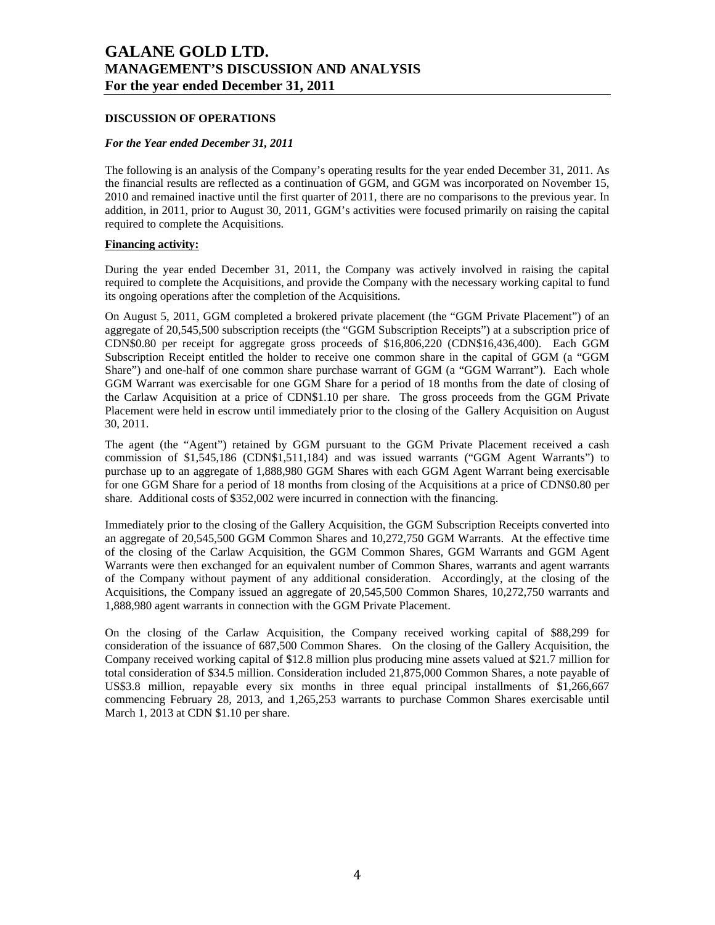### **DISCUSSION OF OPERATIONS**

### *For the Year ended December 31, 2011*

The following is an analysis of the Company's operating results for the year ended December 31, 2011. As the financial results are reflected as a continuation of GGM, and GGM was incorporated on November 15, 2010 and remained inactive until the first quarter of 2011, there are no comparisons to the previous year. In addition, in 2011, prior to August 30, 2011, GGM's activities were focused primarily on raising the capital required to complete the Acquisitions.

## **Financing activity:**

During the year ended December 31, 2011, the Company was actively involved in raising the capital required to complete the Acquisitions, and provide the Company with the necessary working capital to fund its ongoing operations after the completion of the Acquisitions.

On August 5, 2011, GGM completed a brokered private placement (the "GGM Private Placement") of an aggregate of 20,545,500 subscription receipts (the "GGM Subscription Receipts") at a subscription price of CDN\$0.80 per receipt for aggregate gross proceeds of \$16,806,220 (CDN\$16,436,400). Each GGM Subscription Receipt entitled the holder to receive one common share in the capital of GGM (a "GGM Share") and one-half of one common share purchase warrant of GGM (a "GGM Warrant"). Each whole GGM Warrant was exercisable for one GGM Share for a period of 18 months from the date of closing of the Carlaw Acquisition at a price of CDN\$1.10 per share. The gross proceeds from the GGM Private Placement were held in escrow until immediately prior to the closing of the Gallery Acquisition on August 30, 2011.

The agent (the "Agent") retained by GGM pursuant to the GGM Private Placement received a cash commission of \$1,545,186 (CDN\$1,511,184) and was issued warrants ("GGM Agent Warrants") to purchase up to an aggregate of 1,888,980 GGM Shares with each GGM Agent Warrant being exercisable for one GGM Share for a period of 18 months from closing of the Acquisitions at a price of CDN\$0.80 per share. Additional costs of \$352,002 were incurred in connection with the financing.

Immediately prior to the closing of the Gallery Acquisition, the GGM Subscription Receipts converted into an aggregate of 20,545,500 GGM Common Shares and 10,272,750 GGM Warrants. At the effective time of the closing of the Carlaw Acquisition, the GGM Common Shares, GGM Warrants and GGM Agent Warrants were then exchanged for an equivalent number of Common Shares, warrants and agent warrants of the Company without payment of any additional consideration. Accordingly, at the closing of the Acquisitions, the Company issued an aggregate of 20,545,500 Common Shares, 10,272,750 warrants and 1,888,980 agent warrants in connection with the GGM Private Placement.

On the closing of the Carlaw Acquisition, the Company received working capital of \$88,299 for consideration of the issuance of 687,500 Common Shares. On the closing of the Gallery Acquisition, the Company received working capital of \$12.8 million plus producing mine assets valued at \$21.7 million for total consideration of \$34.5 million. Consideration included 21,875,000 Common Shares, a note payable of US\$3.8 million, repayable every six months in three equal principal installments of \$1,266,667 commencing February 28, 2013, and 1,265,253 warrants to purchase Common Shares exercisable until March 1, 2013 at CDN \$1.10 per share.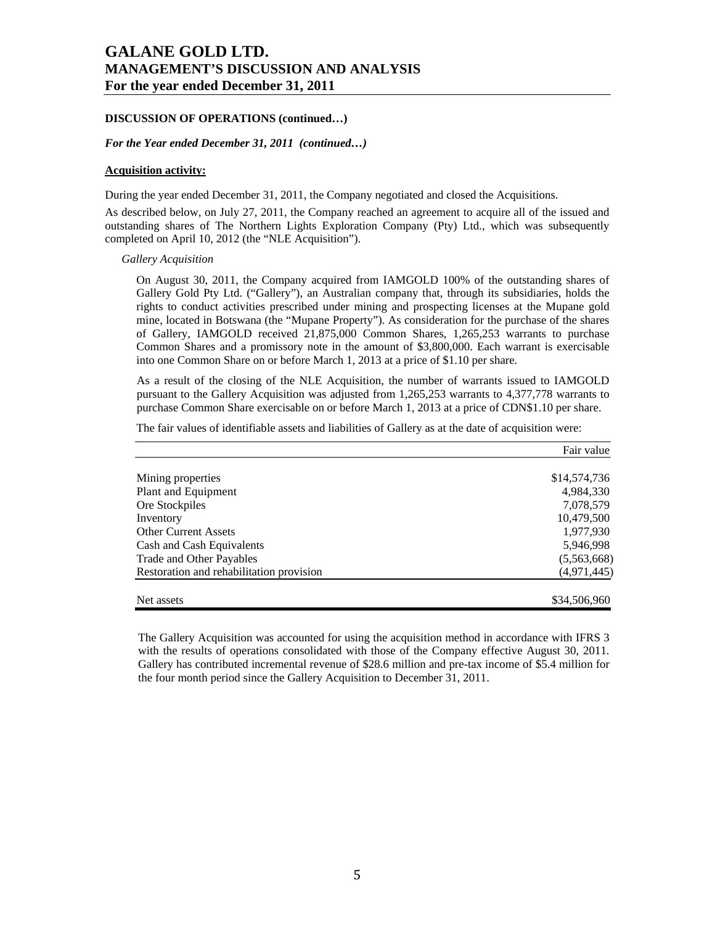### **DISCUSSION OF OPERATIONS (continued…)**

#### *For the Year ended December 31, 2011 (continued…)*

### **Acquisition activity:**

During the year ended December 31, 2011, the Company negotiated and closed the Acquisitions.

As described below, on July 27, 2011, the Company reached an agreement to acquire all of the issued and outstanding shares of The Northern Lights Exploration Company (Pty) Ltd., which was subsequently completed on April 10, 2012 (the "NLE Acquisition").

*Gallery Acquisition* 

On August 30, 2011, the Company acquired from IAMGOLD 100% of the outstanding shares of Gallery Gold Pty Ltd. ("Gallery"), an Australian company that, through its subsidiaries, holds the rights to conduct activities prescribed under mining and prospecting licenses at the Mupane gold mine, located in Botswana (the "Mupane Property"). As consideration for the purchase of the shares of Gallery, IAMGOLD received 21,875,000 Common Shares, 1,265,253 warrants to purchase Common Shares and a promissory note in the amount of \$3,800,000. Each warrant is exercisable into one Common Share on or before March 1, 2013 at a price of \$1.10 per share.

As a result of the closing of the NLE Acquisition, the number of warrants issued to IAMGOLD pursuant to the Gallery Acquisition was adjusted from 1,265,253 warrants to 4,377,778 warrants to purchase Common Share exercisable on or before March 1, 2013 at a price of CDN\$1.10 per share.

The fair values of identifiable assets and liabilities of Gallery as at the date of acquisition were:

|                                          | Fair value   |
|------------------------------------------|--------------|
|                                          |              |
| Mining properties                        | \$14,574,736 |
| Plant and Equipment                      | 4,984,330    |
| Ore Stockpiles                           | 7,078,579    |
| Inventory                                | 10,479,500   |
| <b>Other Current Assets</b>              | 1,977,930    |
| Cash and Cash Equivalents                | 5,946,998    |
| Trade and Other Payables                 | (5,563,668)  |
| Restoration and rehabilitation provision | (4,971,445)  |
| Net assets                               | \$34,506,960 |

The Gallery Acquisition was accounted for using the acquisition method in accordance with IFRS 3 with the results of operations consolidated with those of the Company effective August 30, 2011. Gallery has contributed incremental revenue of \$28.6 million and pre-tax income of \$5.4 million for the four month period since the Gallery Acquisition to December 31, 2011.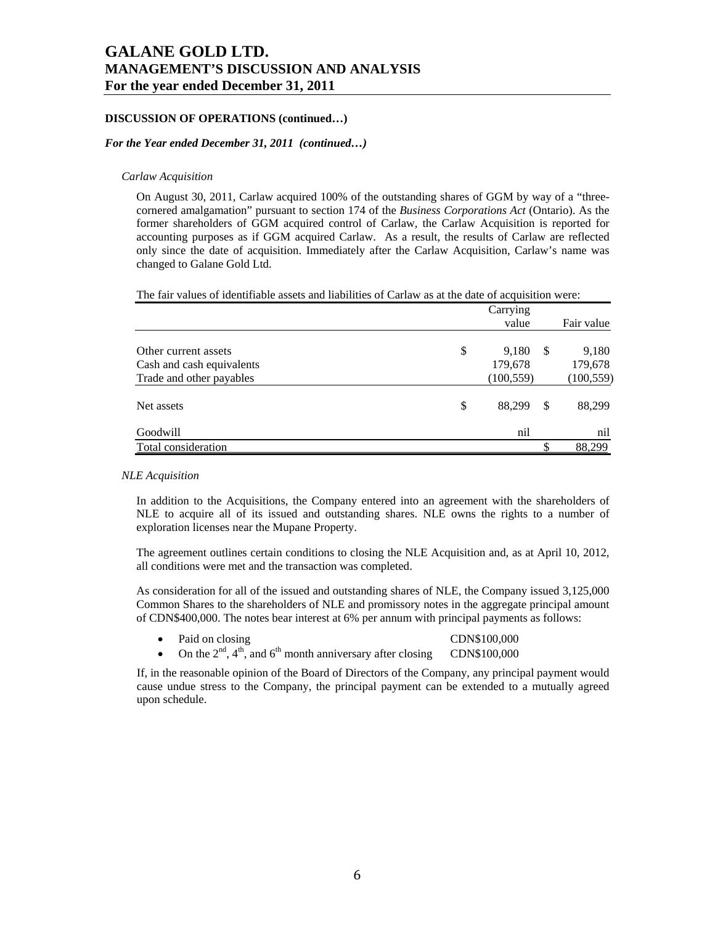### **DISCUSSION OF OPERATIONS (continued…)**

#### *For the Year ended December 31, 2011 (continued…)*

#### *Carlaw Acquisition*

On August 30, 2011, Carlaw acquired 100% of the outstanding shares of GGM by way of a "threecornered amalgamation" pursuant to section 174 of the *Business Corporations Act* (Ontario). As the former shareholders of GGM acquired control of Carlaw, the Carlaw Acquisition is reported for accounting purposes as if GGM acquired Carlaw. As a result, the results of Carlaw are reflected only since the date of acquisition. Immediately after the Carlaw Acquisition, Carlaw's name was changed to Galane Gold Ltd.

The fair values of identifiable assets and liabilities of Carlaw as at the date of acquisition were:

|                                                                               | Carrying<br>value                    |    | Fair value                     |
|-------------------------------------------------------------------------------|--------------------------------------|----|--------------------------------|
| Other current assets<br>Cash and cash equivalents<br>Trade and other payables | \$<br>9,180<br>179,678<br>(100, 559) | -S | 9,180<br>179,678<br>(100, 559) |
| Net assets                                                                    | \$<br>88,299                         | \$ | 88,299                         |
| Goodwill                                                                      | nil                                  |    | nil                            |
| Total consideration                                                           |                                      |    | 88,299                         |

### *NLE Acquisition*

In addition to the Acquisitions, the Company entered into an agreement with the shareholders of NLE to acquire all of its issued and outstanding shares. NLE owns the rights to a number of exploration licenses near the Mupane Property.

The agreement outlines certain conditions to closing the NLE Acquisition and, as at April 10, 2012, all conditions were met and the transaction was completed.

As consideration for all of the issued and outstanding shares of NLE, the Company issued 3,125,000 Common Shares to the shareholders of NLE and promissory notes in the aggregate principal amount of CDN\$400,000. The notes bear interest at 6% per annum with principal payments as follows:

- Paid on closing CDN\$100,000
- On the  $2<sup>nd</sup>$ ,  $4<sup>th</sup>$ , and  $6<sup>th</sup>$  month anniversary after closing CDN\$100,000

If, in the reasonable opinion of the Board of Directors of the Company, any principal payment would cause undue stress to the Company, the principal payment can be extended to a mutually agreed upon schedule.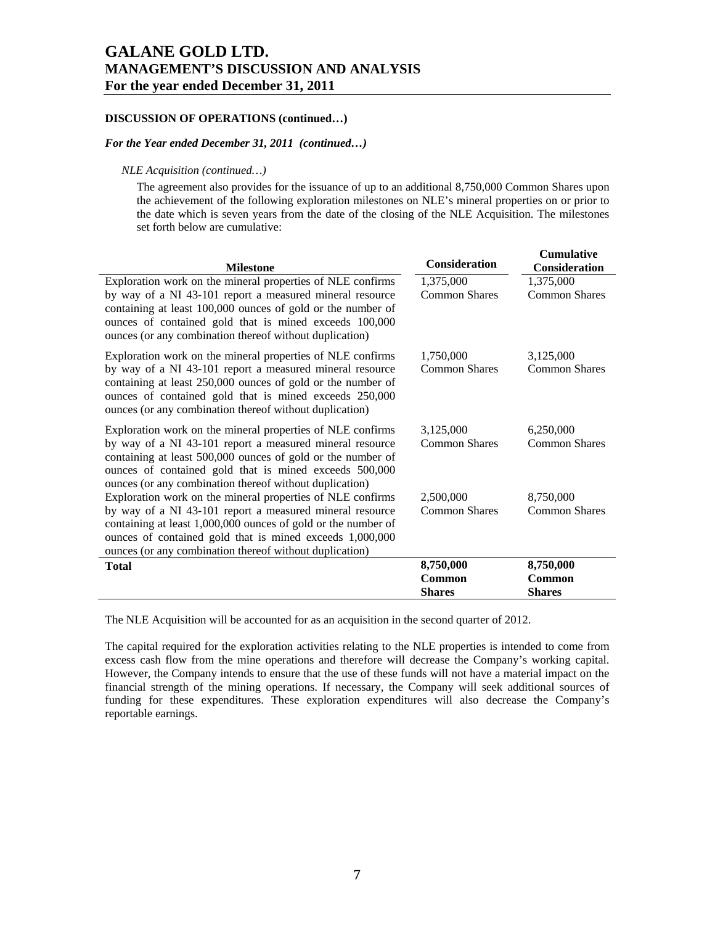### **DISCUSSION OF OPERATIONS (continued…)**

### *For the Year ended December 31, 2011 (continued…)*

## *NLE Acquisition (continued…)*

The agreement also provides for the issuance of up to an additional 8,750,000 Common Shares upon the achievement of the following exploration milestones on NLE's mineral properties on or prior to the date which is seven years from the date of the closing of the NLE Acquisition. The milestones set forth below are cumulative:

|                                                               |                      | <b>Cumulative</b>    |
|---------------------------------------------------------------|----------------------|----------------------|
| <b>Milestone</b>                                              | <b>Consideration</b> | <b>Consideration</b> |
| Exploration work on the mineral properties of NLE confirms    | 1,375,000            | 1,375,000            |
| by way of a NI 43-101 report a measured mineral resource      | <b>Common Shares</b> | <b>Common Shares</b> |
| containing at least 100,000 ounces of gold or the number of   |                      |                      |
| ounces of contained gold that is mined exceeds 100,000        |                      |                      |
| ounces (or any combination thereof without duplication)       |                      |                      |
| Exploration work on the mineral properties of NLE confirms    | 1,750,000            | 3,125,000            |
| by way of a NI 43-101 report a measured mineral resource      | <b>Common Shares</b> | <b>Common Shares</b> |
| containing at least 250,000 ounces of gold or the number of   |                      |                      |
| ounces of contained gold that is mined exceeds 250,000        |                      |                      |
| ounces (or any combination thereof without duplication)       |                      |                      |
| Exploration work on the mineral properties of NLE confirms    | 3,125,000            | 6,250,000            |
| by way of a NI 43-101 report a measured mineral resource      | <b>Common Shares</b> | <b>Common Shares</b> |
| containing at least 500,000 ounces of gold or the number of   |                      |                      |
| ounces of contained gold that is mined exceeds 500,000        |                      |                      |
| ounces (or any combination thereof without duplication)       |                      |                      |
| Exploration work on the mineral properties of NLE confirms    | 2,500,000            | 8,750,000            |
| by way of a NI 43-101 report a measured mineral resource      | <b>Common Shares</b> | <b>Common Shares</b> |
| containing at least 1,000,000 ounces of gold or the number of |                      |                      |
| ounces of contained gold that is mined exceeds 1,000,000      |                      |                      |
| ounces (or any combination thereof without duplication)       |                      |                      |
| <b>Total</b>                                                  | 8,750,000            | 8,750,000<br>Common  |
|                                                               | Common               |                      |
|                                                               | <b>Shares</b>        | <b>Shares</b>        |

The NLE Acquisition will be accounted for as an acquisition in the second quarter of 2012.

The capital required for the exploration activities relating to the NLE properties is intended to come from excess cash flow from the mine operations and therefore will decrease the Company's working capital. However, the Company intends to ensure that the use of these funds will not have a material impact on the financial strength of the mining operations. If necessary, the Company will seek additional sources of funding for these expenditures. These exploration expenditures will also decrease the Company's reportable earnings.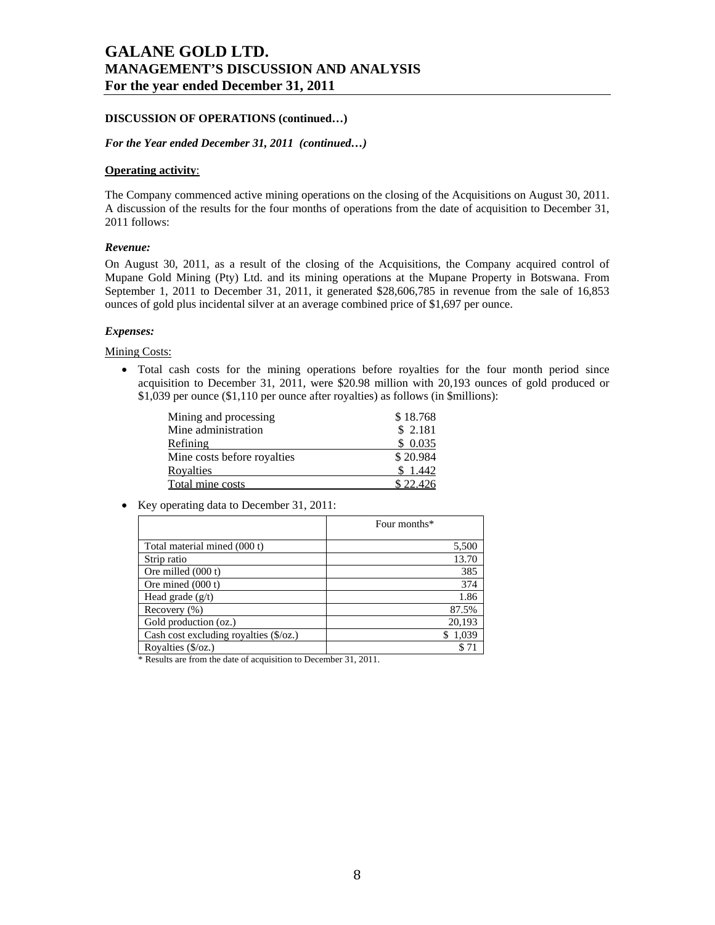### **DISCUSSION OF OPERATIONS (continued…)**

#### *For the Year ended December 31, 2011 (continued…)*

### **Operating activity**:

The Company commenced active mining operations on the closing of the Acquisitions on August 30, 2011. A discussion of the results for the four months of operations from the date of acquisition to December 31, 2011 follows:

#### *Revenue:*

On August 30, 2011, as a result of the closing of the Acquisitions, the Company acquired control of Mupane Gold Mining (Pty) Ltd. and its mining operations at the Mupane Property in Botswana. From September 1, 2011 to December 31, 2011, it generated \$28,606,785 in revenue from the sale of 16,853 ounces of gold plus incidental silver at an average combined price of \$1,697 per ounce.

#### *Expenses:*

#### Mining Costs:

 Total cash costs for the mining operations before royalties for the four month period since acquisition to December 31, 2011, were \$20.98 million with 20,193 ounces of gold produced or \$1,039 per ounce (\$1,110 per ounce after royalties) as follows (in \$millions):

| Mining and processing       | \$18.768 |
|-----------------------------|----------|
| Mine administration         | \$2.181  |
| Refining                    | \$0.035  |
| Mine costs before royalties | \$20.984 |
| Royalties                   | \$1.442  |
| Total mine costs            | \$22.426 |

Key operating data to December 31, 2011:

|                                               | Four months* |
|-----------------------------------------------|--------------|
| Total material mined (000 t)                  | 5,500        |
| Strip ratio                                   | 13.70        |
| Ore milled (000 t)                            | 385          |
| Ore mined $(000 t)$                           | 374          |
| Head grade $(g/t)$                            | 1.86         |
| Recovery $(\% )$                              | 87.5%        |
| Gold production (oz.)                         | 20,193       |
| Cash cost excluding royalties $(\frac{6}{2})$ | 1.039        |
| Royalties $(\frac{5}{oz})$                    |              |

\* Results are from the date of acquisition to December 31, 2011.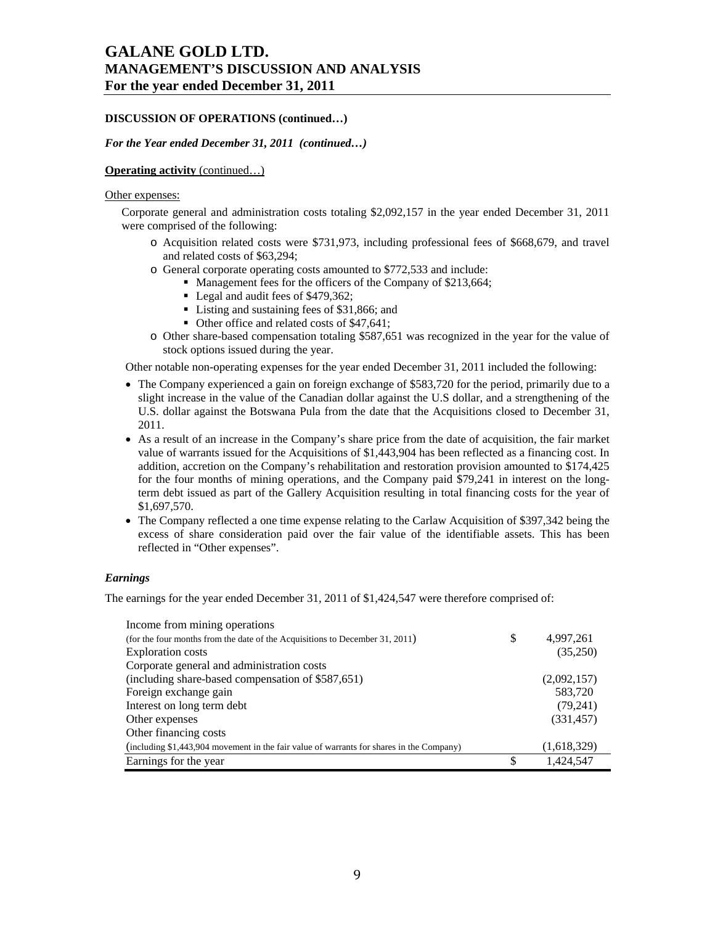## **DISCUSSION OF OPERATIONS (continued…)**

#### *For the Year ended December 31, 2011 (continued…)*

## **Operating activity** (continued…)

#### Other expenses:

Corporate general and administration costs totaling \$2,092,157 in the year ended December 31, 2011 were comprised of the following:

- o Acquisition related costs were \$731,973, including professional fees of \$668,679, and travel and related costs of \$63,294;
- o General corporate operating costs amounted to \$772,533 and include:
	- Management fees for the officers of the Company of \$213,664;
		- Legal and audit fees of \$479,362;
		- Listing and sustaining fees of \$31,866; and
		- Other office and related costs of \$47,641;
- o Other share-based compensation totaling \$587,651 was recognized in the year for the value of stock options issued during the year.

Other notable non-operating expenses for the year ended December 31, 2011 included the following:

- The Company experienced a gain on foreign exchange of \$583,720 for the period, primarily due to a slight increase in the value of the Canadian dollar against the U.S dollar, and a strengthening of the U.S. dollar against the Botswana Pula from the date that the Acquisitions closed to December 31, 2011.
- As a result of an increase in the Company's share price from the date of acquisition, the fair market value of warrants issued for the Acquisitions of \$1,443,904 has been reflected as a financing cost. In addition, accretion on the Company's rehabilitation and restoration provision amounted to \$174,425 for the four months of mining operations, and the Company paid \$79,241 in interest on the longterm debt issued as part of the Gallery Acquisition resulting in total financing costs for the year of \$1,697,570.
- The Company reflected a one time expense relating to the Carlaw Acquisition of \$397,342 being the excess of share consideration paid over the fair value of the identifiable assets. This has been reflected in "Other expenses".

### *Earnings*

The earnings for the year ended December 31, 2011 of \$1,424,547 were therefore comprised of:

| Income from mining operations                                                            |                 |
|------------------------------------------------------------------------------------------|-----------------|
| (for the four months from the date of the Acquisitions to December 31, 2011)             | \$<br>4,997,261 |
| <b>Exploration</b> costs                                                                 | (35,250)        |
| Corporate general and administration costs                                               |                 |
| (including share-based compensation of \$587,651)                                        | (2,092,157)     |
| Foreign exchange gain                                                                    | 583,720         |
| Interest on long term debt                                                               | (79,241)        |
| Other expenses                                                                           | (331, 457)      |
| Other financing costs                                                                    |                 |
| (including \$1,443,904 movement in the fair value of warrants for shares in the Company) | (1,618,329)     |
| Earnings for the year                                                                    | \$<br>1,424,547 |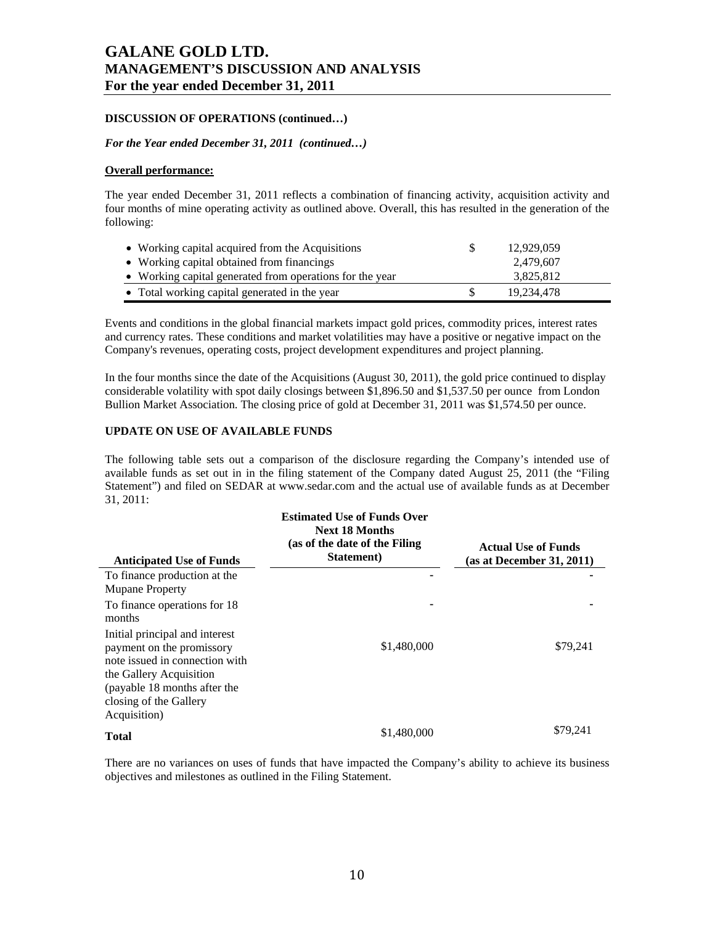## **DISCUSSION OF OPERATIONS (continued…)**

### *For the Year ended December 31, 2011 (continued…)*

### **Overall performance:**

The year ended December 31, 2011 reflects a combination of financing activity, acquisition activity and four months of mine operating activity as outlined above. Overall, this has resulted in the generation of the following:

| • Working capital acquired from the Acquisitions         | 12.929.059 |  |
|----------------------------------------------------------|------------|--|
| • Working capital obtained from financings               | 2,479,607  |  |
| • Working capital generated from operations for the year | 3,825,812  |  |
| • Total working capital generated in the year            | 19.234.478 |  |

Events and conditions in the global financial markets impact gold prices, commodity prices, interest rates and currency rates. These conditions and market volatilities may have a positive or negative impact on the Company's revenues, operating costs, project development expenditures and project planning.

In the four months since the date of the Acquisitions (August 30, 2011), the gold price continued to display considerable volatility with spot daily closings between \$1,896.50 and \$1,537.50 per ounce from London Bullion Market Association. The closing price of gold at December 31, 2011 was \$1,574.50 per ounce.

## **UPDATE ON USE OF AVAILABLE FUNDS**

The following table sets out a comparison of the disclosure regarding the Company's intended use of available funds as set out in in the filing statement of the Company dated August 25, 2011 (the "Filing Statement") and filed on SEDAR at www.sedar.com and the actual use of available funds as at December 31, 2011:

| <b>Anticipated Use of Funds</b>                                                                                                                                                                    | <b>Estimated Use of Funds Over</b><br><b>Next 18 Months</b><br>(as of the date of the Filing)<br>Statement) | <b>Actual Use of Funds</b><br>(as at December 31, 2011) |
|----------------------------------------------------------------------------------------------------------------------------------------------------------------------------------------------------|-------------------------------------------------------------------------------------------------------------|---------------------------------------------------------|
| To finance production at the<br><b>Mupane Property</b>                                                                                                                                             |                                                                                                             |                                                         |
| To finance operations for 18<br>months                                                                                                                                                             |                                                                                                             |                                                         |
| Initial principal and interest<br>payment on the promissory<br>note issued in connection with<br>the Gallery Acquisition<br>(payable 18 months after the<br>closing of the Gallery<br>Acquisition) | \$1,480,000                                                                                                 | \$79,241                                                |
| <b>Total</b>                                                                                                                                                                                       | \$1,480,000                                                                                                 | \$79,241                                                |

There are no variances on uses of funds that have impacted the Company's ability to achieve its business objectives and milestones as outlined in the Filing Statement.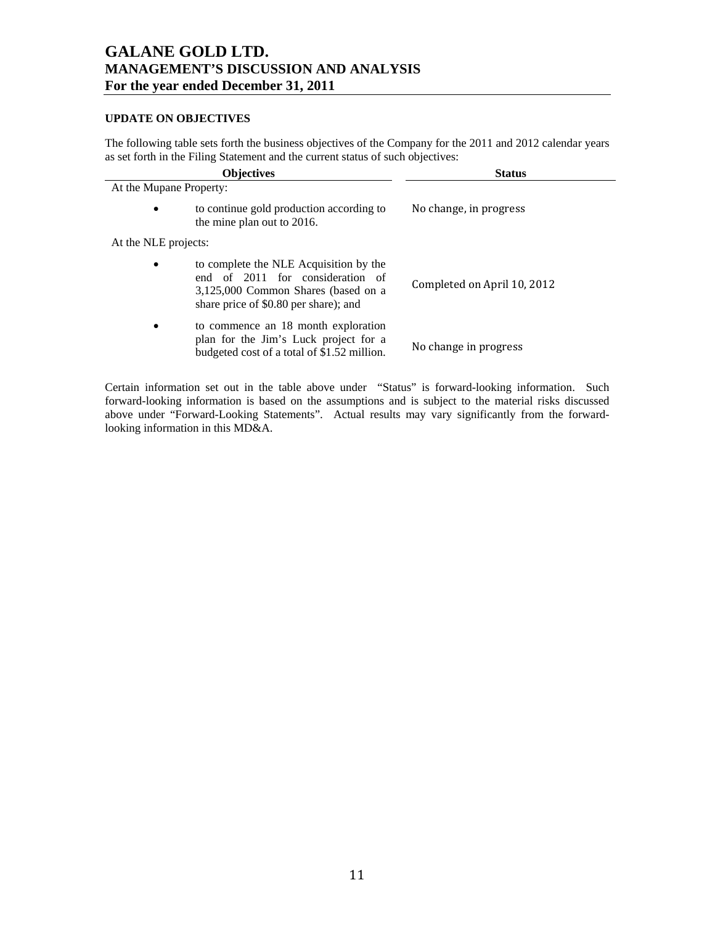## **UPDATE ON OBJECTIVES**

The following table sets forth the business objectives of the Company for the 2011 and 2012 calendar years as set forth in the Filing Statement and the current status of such objectives:

|                         | <b>Objectives</b>                                                                                                                                          | <b>Status</b>               |
|-------------------------|------------------------------------------------------------------------------------------------------------------------------------------------------------|-----------------------------|
| At the Mupane Property: |                                                                                                                                                            |                             |
| $\bullet$               | to continue gold production according to<br>the mine plan out to 2016.                                                                                     | No change, in progress      |
| At the NLE projects:    |                                                                                                                                                            |                             |
| $\bullet$               | to complete the NLE Acquisition by the<br>end of 2011 for consideration of<br>3,125,000 Common Shares (based on a<br>share price of \$0.80 per share); and | Completed on April 10, 2012 |
| $\bullet$               | to commence an 18 month exploration<br>plan for the Jim's Luck project for a<br>budgeted cost of a total of \$1.52 million.                                | No change in progress       |

Certain information set out in the table above under "Status" is forward-looking information. Such forward-looking information is based on the assumptions and is subject to the material risks discussed above under "Forward-Looking Statements". Actual results may vary significantly from the forwardlooking information in this MD&A.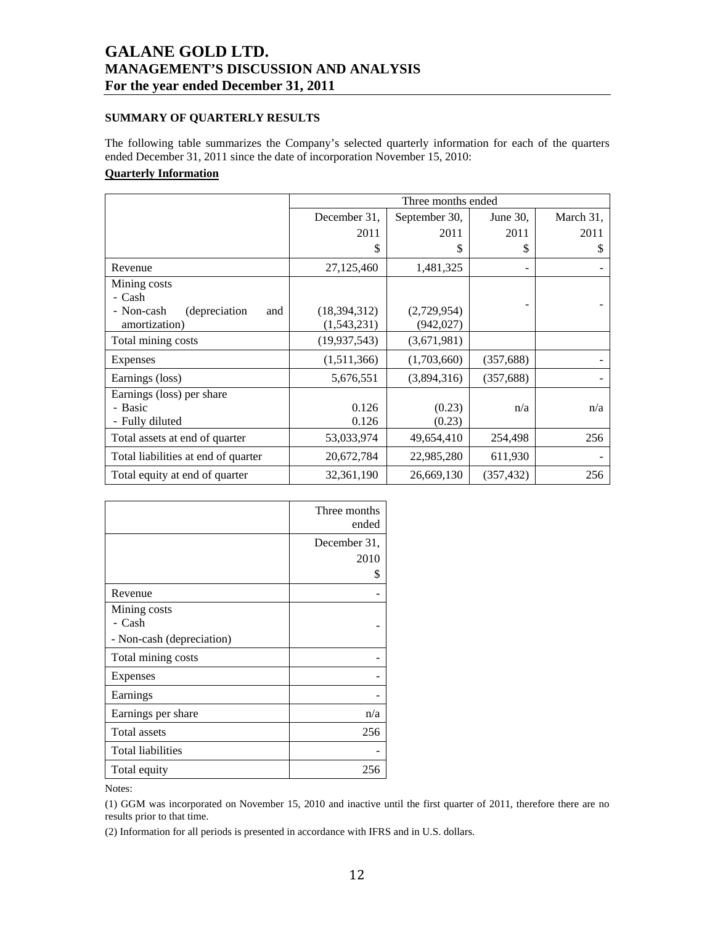## **SUMMARY OF QUARTERLY RESULTS**

The following table summarizes the Company's selected quarterly information for each of the quarters ended December 31, 2011 since the date of incorporation November 15, 2010:

## **Quarterly Information**

|                                     | Three months ended |               |            |           |
|-------------------------------------|--------------------|---------------|------------|-----------|
|                                     | December 31,       | September 30, | June 30,   | March 31, |
|                                     | 2011               | 2011          | 2011       | 2011      |
|                                     | \$                 | \$            | \$         | \$        |
| Revenue                             | 27,125,460         | 1,481,325     |            |           |
| Mining costs                        |                    |               |            |           |
| - Cash                              |                    |               |            |           |
| - Non-cash<br>(depreciation)<br>and | (18,394,312)       | (2,729,954)   |            |           |
| amortization)                       | (1,543,231)        | (942, 027)    |            |           |
| Total mining costs                  | (19, 937, 543)     | (3,671,981)   |            |           |
| <b>Expenses</b>                     | (1,511,366)        | (1,703,660)   | (357, 688) |           |
| Earnings (loss)                     | 5,676,551          | (3,894,316)   | (357, 688) |           |
| Earnings (loss) per share           |                    |               |            |           |
| - Basic                             | 0.126              | (0.23)        | n/a        | n/a       |
| - Fully diluted                     | 0.126              | (0.23)        |            |           |
| Total assets at end of quarter      | 53,033,974         | 49,654,410    | 254,498    | 256       |
| Total liabilities at end of quarter | 20,672,784         | 22,985,280    | 611,930    |           |
| Total equity at end of quarter      | 32,361,190         | 26,669,130    | (357, 432) | 256       |

|                           | Three months |
|---------------------------|--------------|
|                           | ended        |
|                           | December 31, |
|                           | 2010         |
|                           | S            |
| Revenue                   |              |
| Mining costs              |              |
| - Cash                    |              |
| - Non-cash (depreciation) |              |
| Total mining costs        |              |
| Expenses                  |              |
| Earnings                  |              |
| Earnings per share        | n/a          |
| Total assets              | 256          |
| <b>Total liabilities</b>  |              |
| Total equity              | 256          |

Notes:

(1) GGM was incorporated on November 15, 2010 and inactive until the first quarter of 2011, therefore there are no results prior to that time.

(2) Information for all periods is presented in accordance with IFRS and in U.S. dollars.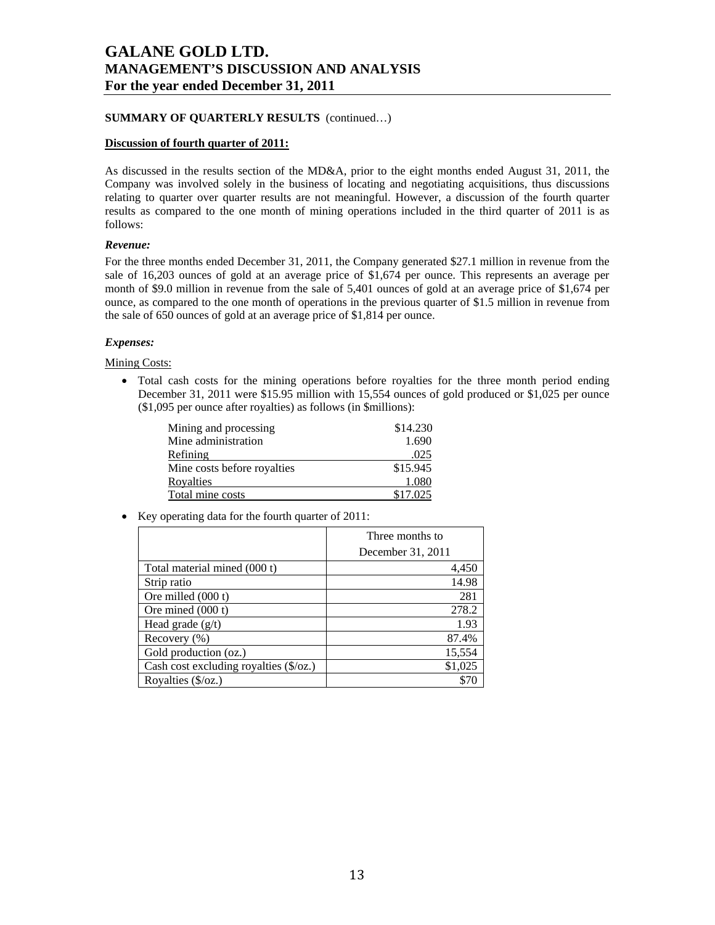## **SUMMARY OF QUARTERLY RESULTS** (continued…)

### **Discussion of fourth quarter of 2011:**

As discussed in the results section of the MD&A, prior to the eight months ended August 31, 2011, the Company was involved solely in the business of locating and negotiating acquisitions, thus discussions relating to quarter over quarter results are not meaningful. However, a discussion of the fourth quarter results as compared to the one month of mining operations included in the third quarter of 2011 is as follows:

### *Revenue:*

For the three months ended December 31, 2011, the Company generated \$27.1 million in revenue from the sale of 16,203 ounces of gold at an average price of \$1,674 per ounce. This represents an average per month of \$9.0 million in revenue from the sale of 5,401 ounces of gold at an average price of \$1,674 per ounce, as compared to the one month of operations in the previous quarter of \$1.5 million in revenue from the sale of 650 ounces of gold at an average price of \$1,814 per ounce.

### *Expenses:*

Mining Costs:

• Total cash costs for the mining operations before royalties for the three month period ending December 31, 2011 were \$15.95 million with 15,554 ounces of gold produced or \$1,025 per ounce (\$1,095 per ounce after royalties) as follows (in \$millions):

| Mining and processing       | \$14.230 |
|-----------------------------|----------|
| Mine administration         | 1.690    |
| Refining                    | .025     |
| Mine costs before royalties | \$15.945 |
| Royalties                   | 1.080    |
| Total mine costs            | \$17.025 |

• Key operating data for the fourth quarter of 2011:

|                                        | Three months to   |  |
|----------------------------------------|-------------------|--|
|                                        | December 31, 2011 |  |
| Total material mined (000 t)           | 4,450             |  |
| Strip ratio                            | 14.98             |  |
| Ore milled $(000 t)$                   | 281               |  |
| Ore mined (000 t)                      | 278.2             |  |
| Head grade $(g/t)$                     | 1.93              |  |
| Recovery $(\% )$                       | 87.4%             |  |
| Gold production (oz.)                  | 15,554            |  |
| Cash cost excluding royalties (\$/oz.) | \$1,025           |  |
| Royalties $(\frac{5}{oz})$             |                   |  |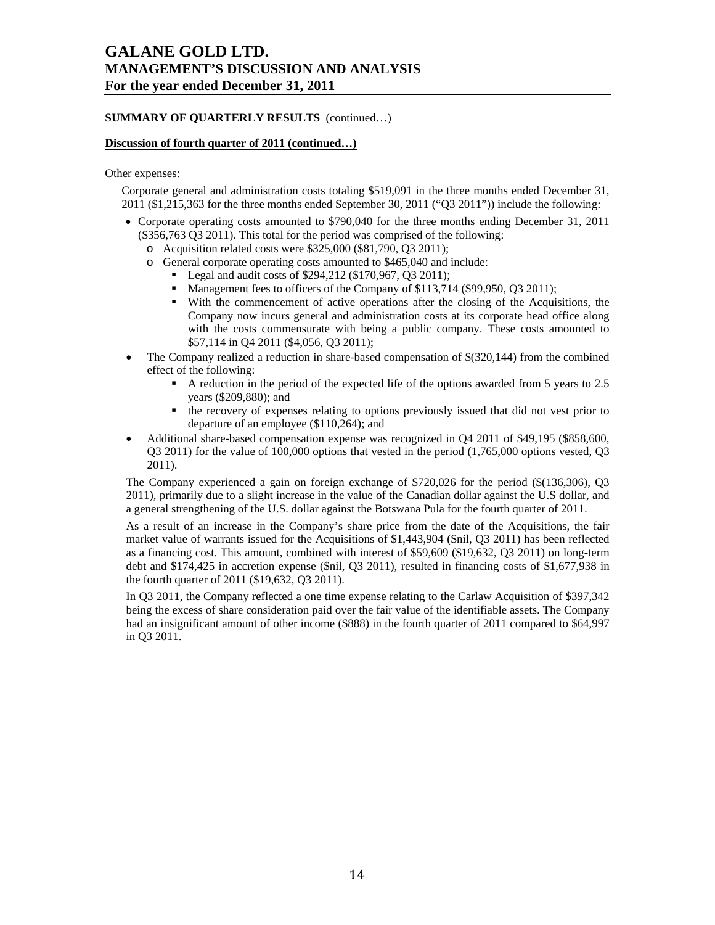## **SUMMARY OF QUARTERLY RESULTS** (continued…)

## **Discussion of fourth quarter of 2011 (continued…)**

#### Other expenses:

Corporate general and administration costs totaling \$519,091 in the three months ended December 31, 2011 (\$1,215,363 for the three months ended September 30, 2011 ("Q3 2011")) include the following:

- Corporate operating costs amounted to \$790,040 for the three months ending December 31, 2011 (\$356,763 Q3 2011). This total for the period was comprised of the following:
	- o Acquisition related costs were \$325,000 (\$81,790, Q3 2011);
	- o General corporate operating costs amounted to \$465,040 and include:
		- Legal and audit costs of \$294,212 (\$170,967, Q3 2011);
		- Management fees to officers of the Company of \$113,714 (\$99,950, Q3 2011);
		- With the commencement of active operations after the closing of the Acquisitions, the Company now incurs general and administration costs at its corporate head office along with the costs commensurate with being a public company. These costs amounted to \$57,114 in Q4 2011 (\$4,056, Q3 2011);
- The Company realized a reduction in share-based compensation of \$(320,144) from the combined effect of the following:
	- A reduction in the period of the expected life of the options awarded from 5 years to 2.5 years (\$209,880); and
	- the recovery of expenses relating to options previously issued that did not vest prior to departure of an employee (\$110,264); and
- Additional share-based compensation expense was recognized in Q4 2011 of \$49,195 (\$858,600, Q3 2011) for the value of 100,000 options that vested in the period (1,765,000 options vested, Q3 2011).

The Company experienced a gain on foreign exchange of \$720,026 for the period (\$(136,306), Q3 2011), primarily due to a slight increase in the value of the Canadian dollar against the U.S dollar, and a general strengthening of the U.S. dollar against the Botswana Pula for the fourth quarter of 2011.

As a result of an increase in the Company's share price from the date of the Acquisitions, the fair market value of warrants issued for the Acquisitions of \$1,443,904 (\$nil, Q3 2011) has been reflected as a financing cost. This amount, combined with interest of \$59,609 (\$19,632, Q3 2011) on long-term debt and \$174,425 in accretion expense (\$nil, Q3 2011), resulted in financing costs of \$1,677,938 in the fourth quarter of 2011 (\$19,632, Q3 2011).

In Q3 2011, the Company reflected a one time expense relating to the Carlaw Acquisition of \$397,342 being the excess of share consideration paid over the fair value of the identifiable assets. The Company had an insignificant amount of other income (\$888) in the fourth quarter of 2011 compared to \$64,997 in Q3 2011.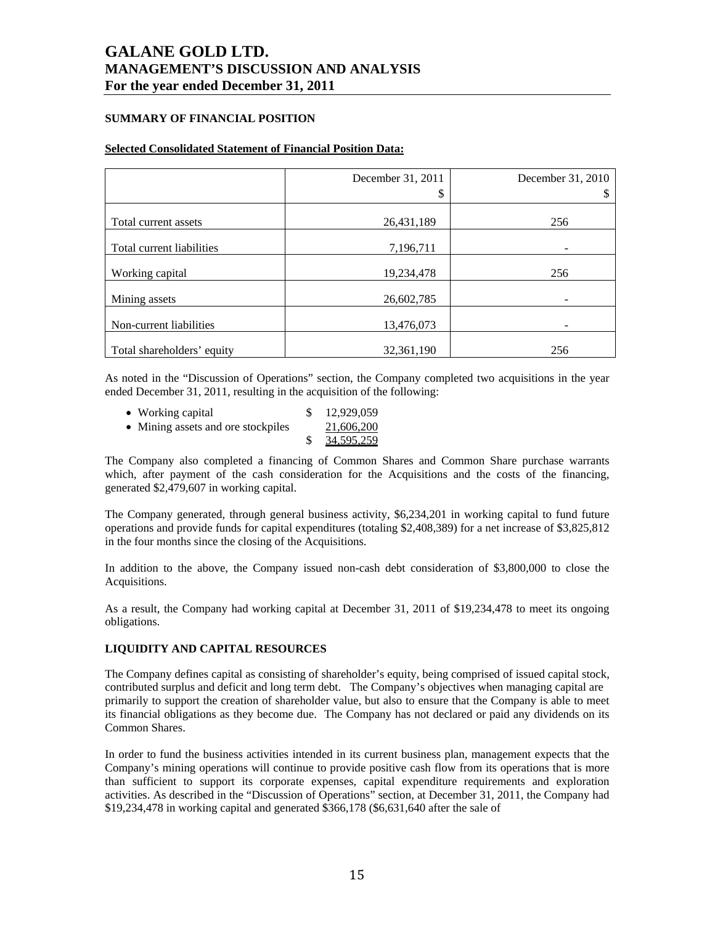## **SUMMARY OF FINANCIAL POSITION**

### **Selected Consolidated Statement of Financial Position Data:**

|                            | December 31, 2011 | December 31, 2010 |
|----------------------------|-------------------|-------------------|
|                            | S                 |                   |
| Total current assets       | 26,431,189        | 256               |
| Total current liabilities  | 7,196,711         |                   |
| Working capital            | 19,234,478        | 256               |
| Mining assets              | 26,602,785        |                   |
| Non-current liabilities    | 13,476,073        |                   |
| Total shareholders' equity | 32, 361, 190      | 256               |

As noted in the "Discussion of Operations" section, the Company completed two acquisitions in the year ended December 31, 2011, resulting in the acquisition of the following:

| • Working capital                  | 12,929,059               |
|------------------------------------|--------------------------|
| • Mining assets and ore stockpiles | 21,606,200               |
|                                    | $\frac{$}{9}$ 34,595,259 |

The Company also completed a financing of Common Shares and Common Share purchase warrants which, after payment of the cash consideration for the Acquisitions and the costs of the financing, generated \$2,479,607 in working capital.

The Company generated, through general business activity, \$6,234,201 in working capital to fund future operations and provide funds for capital expenditures (totaling \$2,408,389) for a net increase of \$3,825,812 in the four months since the closing of the Acquisitions.

In addition to the above, the Company issued non-cash debt consideration of \$3,800,000 to close the Acquisitions.

As a result, the Company had working capital at December 31, 2011 of \$19,234,478 to meet its ongoing obligations.

## **LIQUIDITY AND CAPITAL RESOURCES**

The Company defines capital as consisting of shareholder's equity, being comprised of issued capital stock, contributed surplus and deficit and long term debt. The Company's objectives when managing capital are primarily to support the creation of shareholder value, but also to ensure that the Company is able to meet its financial obligations as they become due. The Company has not declared or paid any dividends on its Common Shares.

In order to fund the business activities intended in its current business plan, management expects that the Company's mining operations will continue to provide positive cash flow from its operations that is more than sufficient to support its corporate expenses, capital expenditure requirements and exploration activities. As described in the "Discussion of Operations" section, at December 31, 2011, the Company had \$19,234,478 in working capital and generated \$366,178 (\$6,631,640 after the sale of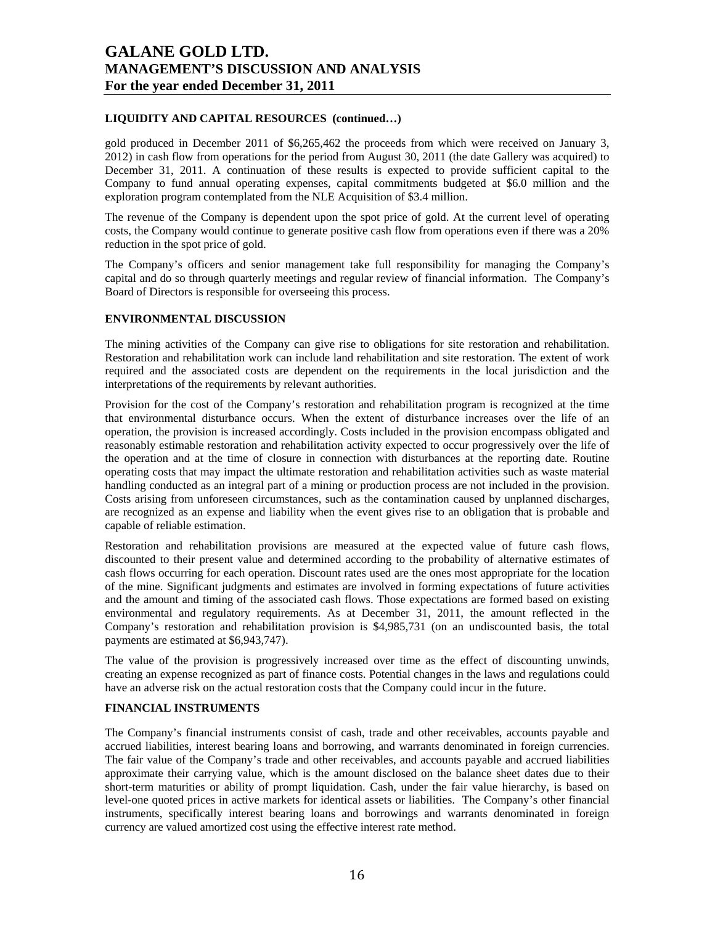## **LIQUIDITY AND CAPITAL RESOURCES (continued…)**

gold produced in December 2011 of \$6,265,462 the proceeds from which were received on January 3, 2012) in cash flow from operations for the period from August 30, 2011 (the date Gallery was acquired) to December 31, 2011. A continuation of these results is expected to provide sufficient capital to the Company to fund annual operating expenses, capital commitments budgeted at \$6.0 million and the exploration program contemplated from the NLE Acquisition of \$3.4 million.

The revenue of the Company is dependent upon the spot price of gold. At the current level of operating costs, the Company would continue to generate positive cash flow from operations even if there was a 20% reduction in the spot price of gold.

The Company's officers and senior management take full responsibility for managing the Company's capital and do so through quarterly meetings and regular review of financial information. The Company's Board of Directors is responsible for overseeing this process.

## **ENVIRONMENTAL DISCUSSION**

The mining activities of the Company can give rise to obligations for site restoration and rehabilitation. Restoration and rehabilitation work can include land rehabilitation and site restoration. The extent of work required and the associated costs are dependent on the requirements in the local jurisdiction and the interpretations of the requirements by relevant authorities.

Provision for the cost of the Company's restoration and rehabilitation program is recognized at the time that environmental disturbance occurs. When the extent of disturbance increases over the life of an operation, the provision is increased accordingly. Costs included in the provision encompass obligated and reasonably estimable restoration and rehabilitation activity expected to occur progressively over the life of the operation and at the time of closure in connection with disturbances at the reporting date. Routine operating costs that may impact the ultimate restoration and rehabilitation activities such as waste material handling conducted as an integral part of a mining or production process are not included in the provision. Costs arising from unforeseen circumstances, such as the contamination caused by unplanned discharges, are recognized as an expense and liability when the event gives rise to an obligation that is probable and capable of reliable estimation.

Restoration and rehabilitation provisions are measured at the expected value of future cash flows, discounted to their present value and determined according to the probability of alternative estimates of cash flows occurring for each operation. Discount rates used are the ones most appropriate for the location of the mine. Significant judgments and estimates are involved in forming expectations of future activities and the amount and timing of the associated cash flows. Those expectations are formed based on existing environmental and regulatory requirements. As at December 31, 2011, the amount reflected in the Company's restoration and rehabilitation provision is \$4,985,731 (on an undiscounted basis, the total payments are estimated at \$6,943,747).

The value of the provision is progressively increased over time as the effect of discounting unwinds, creating an expense recognized as part of finance costs. Potential changes in the laws and regulations could have an adverse risk on the actual restoration costs that the Company could incur in the future.

## **FINANCIAL INSTRUMENTS**

The Company's financial instruments consist of cash, trade and other receivables, accounts payable and accrued liabilities, interest bearing loans and borrowing, and warrants denominated in foreign currencies. The fair value of the Company's trade and other receivables, and accounts payable and accrued liabilities approximate their carrying value, which is the amount disclosed on the balance sheet dates due to their short-term maturities or ability of prompt liquidation. Cash, under the fair value hierarchy, is based on level-one quoted prices in active markets for identical assets or liabilities. The Company's other financial instruments, specifically interest bearing loans and borrowings and warrants denominated in foreign currency are valued amortized cost using the effective interest rate method.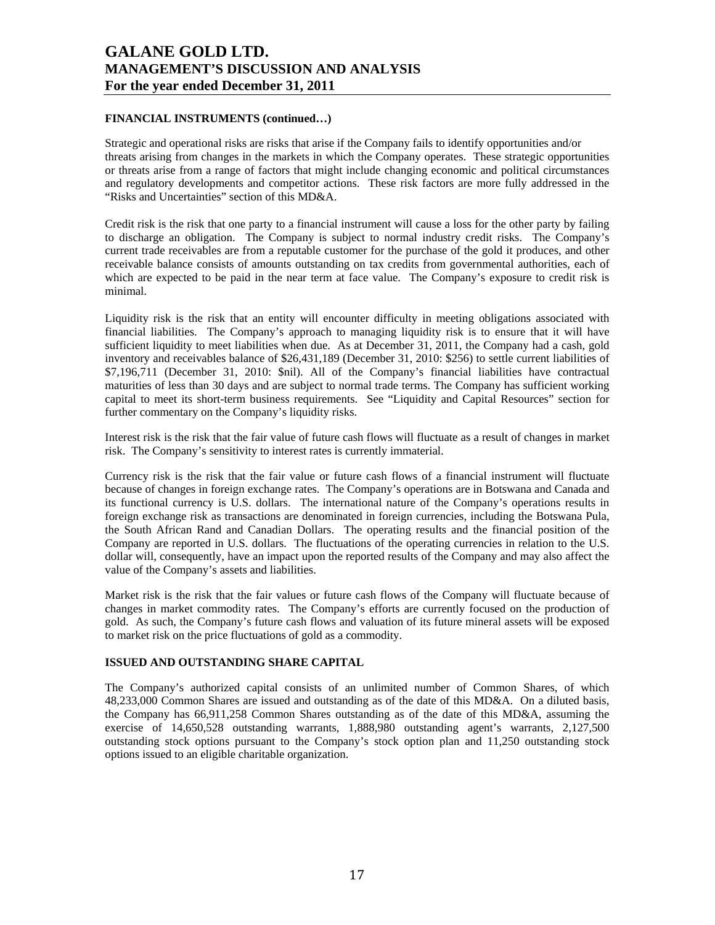## **FINANCIAL INSTRUMENTS (continued…)**

Strategic and operational risks are risks that arise if the Company fails to identify opportunities and/or threats arising from changes in the markets in which the Company operates. These strategic opportunities or threats arise from a range of factors that might include changing economic and political circumstances and regulatory developments and competitor actions. These risk factors are more fully addressed in the "Risks and Uncertainties" section of this MD&A.

Credit risk is the risk that one party to a financial instrument will cause a loss for the other party by failing to discharge an obligation. The Company is subject to normal industry credit risks. The Company's current trade receivables are from a reputable customer for the purchase of the gold it produces, and other receivable balance consists of amounts outstanding on tax credits from governmental authorities, each of which are expected to be paid in the near term at face value. The Company's exposure to credit risk is minimal.

Liquidity risk is the risk that an entity will encounter difficulty in meeting obligations associated with financial liabilities. The Company's approach to managing liquidity risk is to ensure that it will have sufficient liquidity to meet liabilities when due. As at December 31, 2011, the Company had a cash, gold inventory and receivables balance of \$26,431,189 (December 31, 2010: \$256) to settle current liabilities of \$7,196,711 (December 31, 2010: \$nil). All of the Company's financial liabilities have contractual maturities of less than 30 days and are subject to normal trade terms. The Company has sufficient working capital to meet its short-term business requirements. See "Liquidity and Capital Resources" section for further commentary on the Company's liquidity risks.

Interest risk is the risk that the fair value of future cash flows will fluctuate as a result of changes in market risk. The Company's sensitivity to interest rates is currently immaterial.

Currency risk is the risk that the fair value or future cash flows of a financial instrument will fluctuate because of changes in foreign exchange rates. The Company's operations are in Botswana and Canada and its functional currency is U.S. dollars. The international nature of the Company's operations results in foreign exchange risk as transactions are denominated in foreign currencies, including the Botswana Pula, the South African Rand and Canadian Dollars. The operating results and the financial position of the Company are reported in U.S. dollars. The fluctuations of the operating currencies in relation to the U.S. dollar will, consequently, have an impact upon the reported results of the Company and may also affect the value of the Company's assets and liabilities.

Market risk is the risk that the fair values or future cash flows of the Company will fluctuate because of changes in market commodity rates. The Company's efforts are currently focused on the production of gold. As such, the Company's future cash flows and valuation of its future mineral assets will be exposed to market risk on the price fluctuations of gold as a commodity.

### **ISSUED AND OUTSTANDING SHARE CAPITAL**

The Company's authorized capital consists of an unlimited number of Common Shares, of which 48,233,000 Common Shares are issued and outstanding as of the date of this MD&A. On a diluted basis, the Company has 66,911,258 Common Shares outstanding as of the date of this MD&A, assuming the exercise of 14,650,528 outstanding warrants, 1,888,980 outstanding agent's warrants, 2,127,500 outstanding stock options pursuant to the Company's stock option plan and 11,250 outstanding stock options issued to an eligible charitable organization.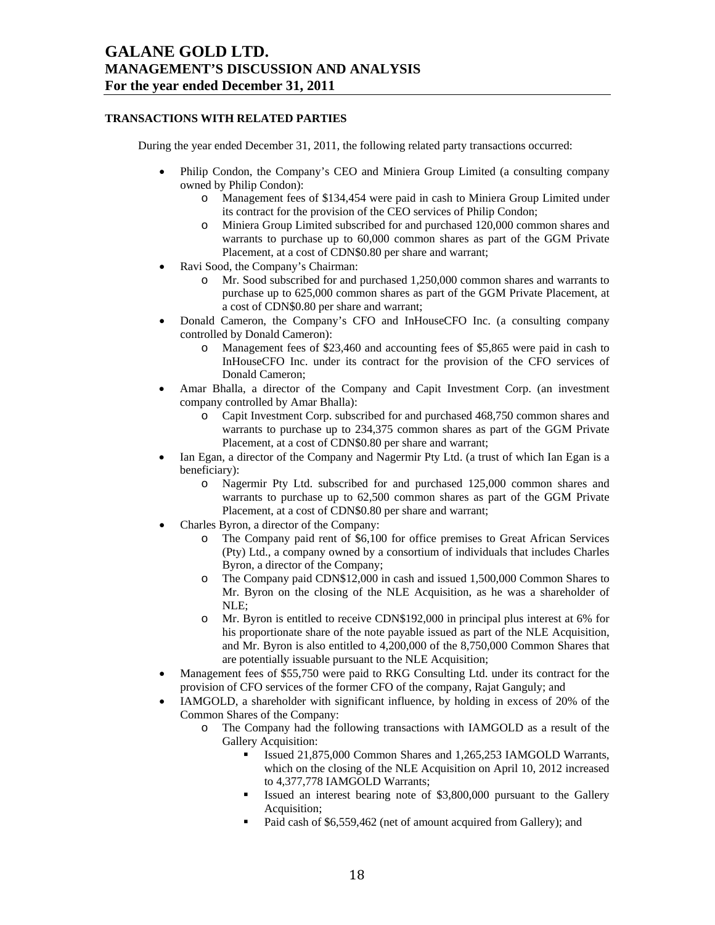## **TRANSACTIONS WITH RELATED PARTIES**

During the year ended December 31, 2011, the following related party transactions occurred:

- Philip Condon, the Company's CEO and Miniera Group Limited (a consulting company owned by Philip Condon):
	- o Management fees of \$134,454 were paid in cash to Miniera Group Limited under its contract for the provision of the CEO services of Philip Condon;
	- o Miniera Group Limited subscribed for and purchased 120,000 common shares and warrants to purchase up to 60,000 common shares as part of the GGM Private Placement, at a cost of CDN\$0.80 per share and warrant;
- Ravi Sood, the Company's Chairman:
	- o Mr. Sood subscribed for and purchased 1,250,000 common shares and warrants to purchase up to 625,000 common shares as part of the GGM Private Placement, at a cost of CDN\$0.80 per share and warrant;
- Donald Cameron, the Company's CFO and InHouseCFO Inc. (a consulting company controlled by Donald Cameron):
	- o Management fees of \$23,460 and accounting fees of \$5,865 were paid in cash to InHouseCFO Inc. under its contract for the provision of the CFO services of Donald Cameron;
- Amar Bhalla, a director of the Company and Capit Investment Corp. (an investment company controlled by Amar Bhalla):
	- o Capit Investment Corp. subscribed for and purchased 468,750 common shares and warrants to purchase up to 234,375 common shares as part of the GGM Private Placement, at a cost of CDN\$0.80 per share and warrant;
- Ian Egan, a director of the Company and Nagermir Pty Ltd. (a trust of which Ian Egan is a beneficiary):
	- o Nagermir Pty Ltd. subscribed for and purchased 125,000 common shares and warrants to purchase up to 62,500 common shares as part of the GGM Private Placement, at a cost of CDN\$0.80 per share and warrant;
- Charles Byron, a director of the Company:
	- o The Company paid rent of \$6,100 for office premises to Great African Services (Pty) Ltd., a company owned by a consortium of individuals that includes Charles Byron, a director of the Company;
	- o The Company paid CDN\$12,000 in cash and issued 1,500,000 Common Shares to Mr. Byron on the closing of the NLE Acquisition, as he was a shareholder of NLE;
	- o Mr. Byron is entitled to receive CDN\$192,000 in principal plus interest at 6% for his proportionate share of the note payable issued as part of the NLE Acquisition, and Mr. Byron is also entitled to 4,200,000 of the 8,750,000 Common Shares that are potentially issuable pursuant to the NLE Acquisition;
- Management fees of \$55,750 were paid to RKG Consulting Ltd. under its contract for the provision of CFO services of the former CFO of the company, Rajat Ganguly; and
- IAMGOLD, a shareholder with significant influence, by holding in excess of 20% of the Common Shares of the Company:
	- o The Company had the following transactions with IAMGOLD as a result of the Gallery Acquisition:
		- Issued 21,875,000 Common Shares and 1,265,253 IAMGOLD Warrants, which on the closing of the NLE Acquisition on April 10, 2012 increased to 4,377,778 IAMGOLD Warrants;
		- Issued an interest bearing note of \$3,800,000 pursuant to the Gallery Acquisition;
		- Paid cash of \$6,559,462 (net of amount acquired from Gallery); and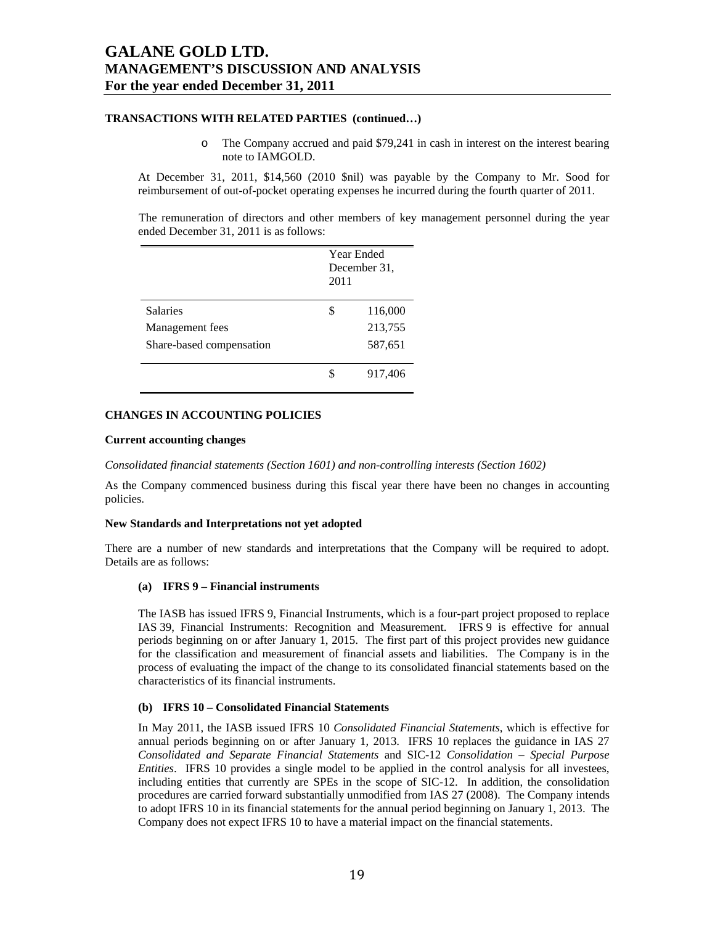### **TRANSACTIONS WITH RELATED PARTIES (continued…)**

o The Company accrued and paid \$79,241 in cash in interest on the interest bearing note to IAMGOLD.

At December 31, 2011, \$14,560 (2010 \$nil) was payable by the Company to Mr. Sood for reimbursement of out-of-pocket operating expenses he incurred during the fourth quarter of 2011.

The remuneration of directors and other members of key management personnel during the year ended December 31, 2011 is as follows:

|                          | Year Ended<br>December 31,<br>2011 |         |
|--------------------------|------------------------------------|---------|
| <b>Salaries</b>          | \$                                 | 116,000 |
| Management fees          |                                    | 213,755 |
| Share-based compensation |                                    | 587,651 |
|                          | S                                  | 917,406 |

### **CHANGES IN ACCOUNTING POLICIES**

#### **Current accounting changes**

*Consolidated financial statements (Section 1601) and non-controlling interests (Section 1602)* 

As the Company commenced business during this fiscal year there have been no changes in accounting policies.

#### **New Standards and Interpretations not yet adopted**

There are a number of new standards and interpretations that the Company will be required to adopt. Details are as follows:

#### **(a) IFRS 9 – Financial instruments**

The IASB has issued IFRS 9, Financial Instruments, which is a four-part project proposed to replace IAS 39, Financial Instruments: Recognition and Measurement. IFRS 9 is effective for annual periods beginning on or after January 1, 2015. The first part of this project provides new guidance for the classification and measurement of financial assets and liabilities. The Company is in the process of evaluating the impact of the change to its consolidated financial statements based on the characteristics of its financial instruments.

#### **(b) IFRS 10 – Consolidated Financial Statements**

In May 2011, the IASB issued IFRS 10 *Consolidated Financial Statements*, which is effective for annual periods beginning on or after January 1, 2013. IFRS 10 replaces the guidance in IAS 27 *Consolidated and Separate Financial Statements* and SIC-12 *Consolidation – Special Purpose Entities*. IFRS 10 provides a single model to be applied in the control analysis for all investees, including entities that currently are SPEs in the scope of SIC-12. In addition, the consolidation procedures are carried forward substantially unmodified from IAS 27 (2008). The Company intends to adopt IFRS 10 in its financial statements for the annual period beginning on January 1, 2013. The Company does not expect IFRS 10 to have a material impact on the financial statements.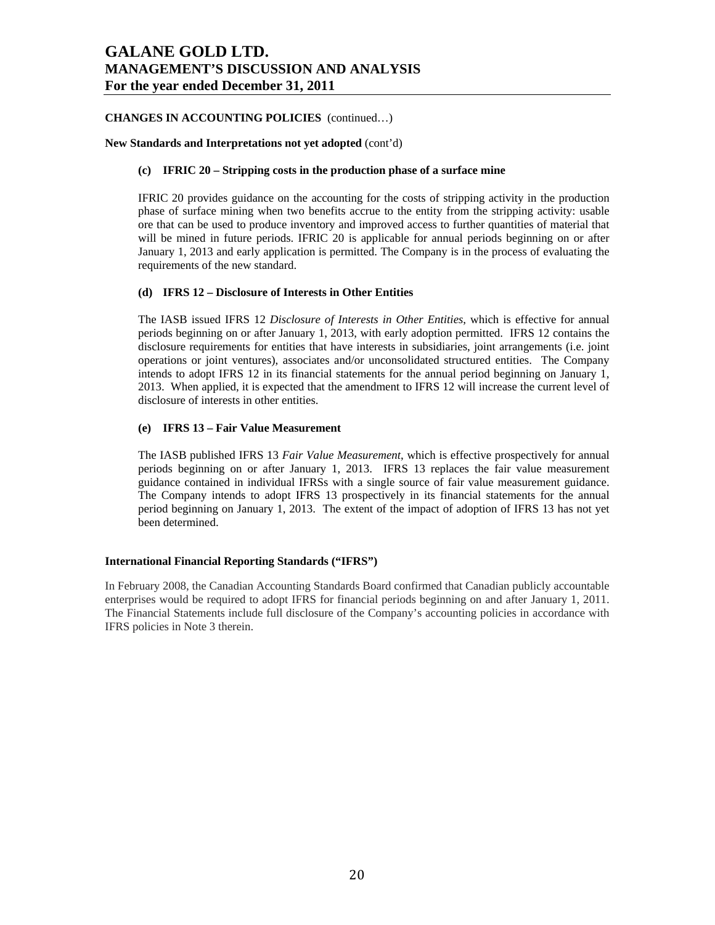## **CHANGES IN ACCOUNTING POLICIES** (continued…)

#### **New Standards and Interpretations not yet adopted** (cont'd)

### **(c) IFRIC 20 – Stripping costs in the production phase of a surface mine**

IFRIC 20 provides guidance on the accounting for the costs of stripping activity in the production phase of surface mining when two benefits accrue to the entity from the stripping activity: usable ore that can be used to produce inventory and improved access to further quantities of material that will be mined in future periods. IFRIC 20 is applicable for annual periods beginning on or after January 1, 2013 and early application is permitted. The Company is in the process of evaluating the requirements of the new standard.

### **(d) IFRS 12 – Disclosure of Interests in Other Entities**

The IASB issued IFRS 12 *Disclosure of Interests in Other Entities*, which is effective for annual periods beginning on or after January 1, 2013, with early adoption permitted. IFRS 12 contains the disclosure requirements for entities that have interests in subsidiaries, joint arrangements (i.e. joint operations or joint ventures), associates and/or unconsolidated structured entities. The Company intends to adopt IFRS 12 in its financial statements for the annual period beginning on January 1, 2013. When applied, it is expected that the amendment to IFRS 12 will increase the current level of disclosure of interests in other entities.

#### **(e) IFRS 13 – Fair Value Measurement**

The IASB published IFRS 13 *Fair Value Measurement*, which is effective prospectively for annual periods beginning on or after January 1, 2013. IFRS 13 replaces the fair value measurement guidance contained in individual IFRSs with a single source of fair value measurement guidance. The Company intends to adopt IFRS 13 prospectively in its financial statements for the annual period beginning on January 1, 2013. The extent of the impact of adoption of IFRS 13 has not yet been determined.

### **International Financial Reporting Standards ("IFRS")**

In February 2008, the Canadian Accounting Standards Board confirmed that Canadian publicly accountable enterprises would be required to adopt IFRS for financial periods beginning on and after January 1, 2011. The Financial Statements include full disclosure of the Company's accounting policies in accordance with IFRS policies in Note 3 therein.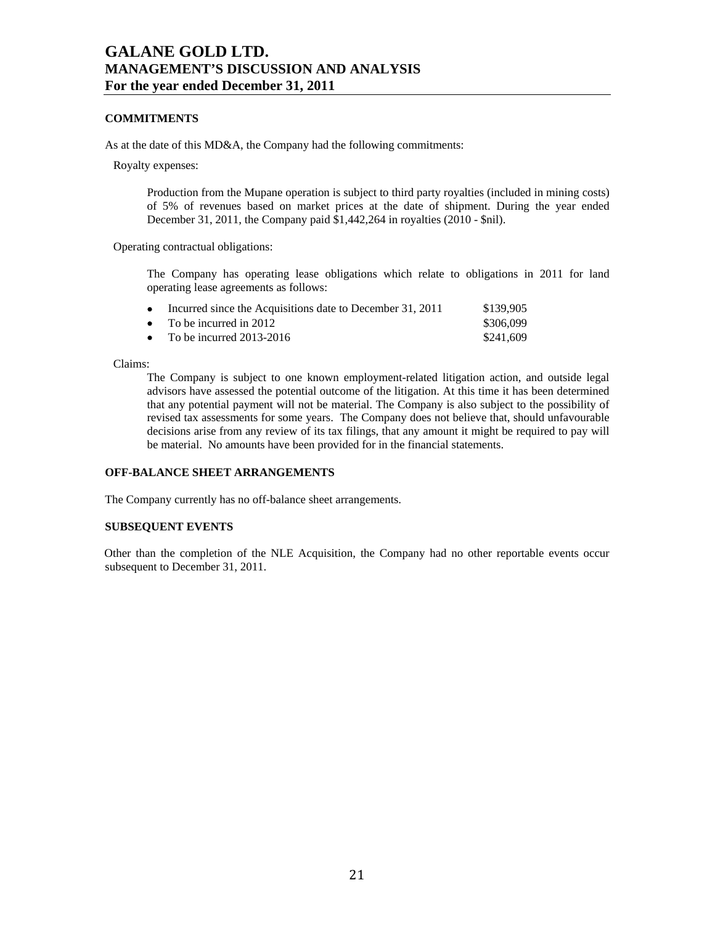## **COMMITMENTS**

As at the date of this MD&A, the Company had the following commitments:

Royalty expenses:

Production from the Mupane operation is subject to third party royalties (included in mining costs) of 5% of revenues based on market prices at the date of shipment. During the year ended December 31, 2011, the Company paid \$1,442,264 in royalties (2010 - \$nil).

Operating contractual obligations:

The Company has operating lease obligations which relate to obligations in 2011 for land operating lease agreements as follows:

| $\bullet$ | Incurred since the Acquisitions date to December 31, 2011 | \$139.905 |
|-----------|-----------------------------------------------------------|-----------|
|           | • To be incurred in 2012                                  | \$306.099 |
|           | • To be incurred $2013-2016$                              | \$241,609 |

Claims:

The Company is subject to one known employment-related litigation action, and outside legal advisors have assessed the potential outcome of the litigation. At this time it has been determined that any potential payment will not be material. The Company is also subject to the possibility of revised tax assessments for some years. The Company does not believe that, should unfavourable decisions arise from any review of its tax filings, that any amount it might be required to pay will be material. No amounts have been provided for in the financial statements.

#### **OFF-BALANCE SHEET ARRANGEMENTS**

The Company currently has no off-balance sheet arrangements.

### **SUBSEQUENT EVENTS**

Other than the completion of the NLE Acquisition, the Company had no other reportable events occur subsequent to December 31, 2011.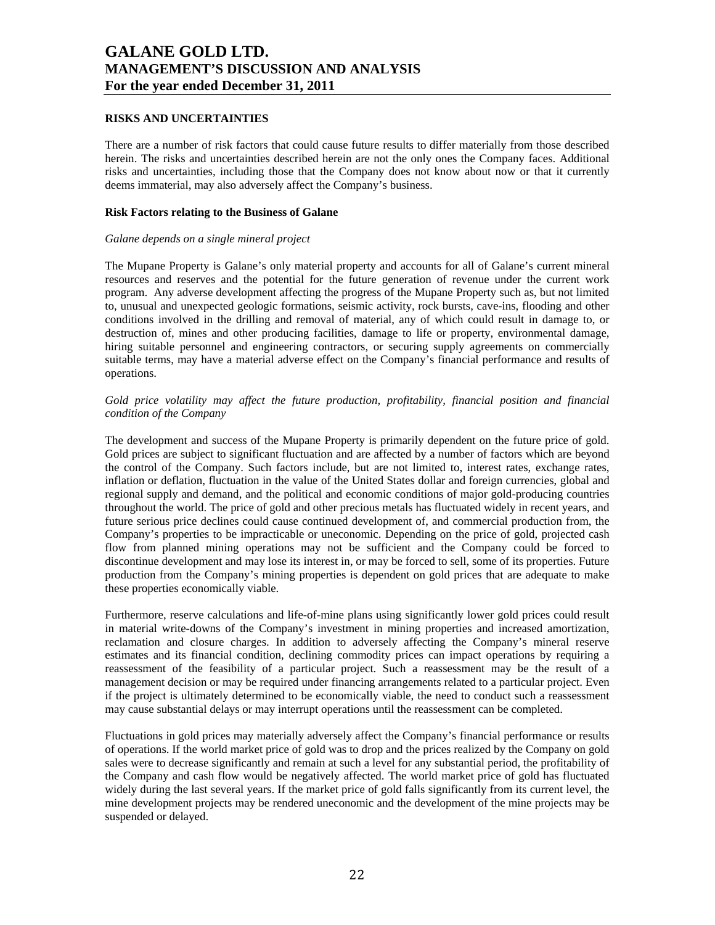### **RISKS AND UNCERTAINTIES**

There are a number of risk factors that could cause future results to differ materially from those described herein. The risks and uncertainties described herein are not the only ones the Company faces. Additional risks and uncertainties, including those that the Company does not know about now or that it currently deems immaterial, may also adversely affect the Company's business.

### **Risk Factors relating to the Business of Galane**

#### *Galane depends on a single mineral project*

The Mupane Property is Galane's only material property and accounts for all of Galane's current mineral resources and reserves and the potential for the future generation of revenue under the current work program. Any adverse development affecting the progress of the Mupane Property such as, but not limited to, unusual and unexpected geologic formations, seismic activity, rock bursts, cave-ins, flooding and other conditions involved in the drilling and removal of material, any of which could result in damage to, or destruction of, mines and other producing facilities, damage to life or property, environmental damage, hiring suitable personnel and engineering contractors, or securing supply agreements on commercially suitable terms, may have a material adverse effect on the Company's financial performance and results of operations.

## *Gold price volatility may affect the future production, profitability, financial position and financial condition of the Company*

The development and success of the Mupane Property is primarily dependent on the future price of gold. Gold prices are subject to significant fluctuation and are affected by a number of factors which are beyond the control of the Company. Such factors include, but are not limited to, interest rates, exchange rates, inflation or deflation, fluctuation in the value of the United States dollar and foreign currencies, global and regional supply and demand, and the political and economic conditions of major gold-producing countries throughout the world. The price of gold and other precious metals has fluctuated widely in recent years, and future serious price declines could cause continued development of, and commercial production from, the Company's properties to be impracticable or uneconomic. Depending on the price of gold, projected cash flow from planned mining operations may not be sufficient and the Company could be forced to discontinue development and may lose its interest in, or may be forced to sell, some of its properties. Future production from the Company's mining properties is dependent on gold prices that are adequate to make these properties economically viable.

Furthermore, reserve calculations and life-of-mine plans using significantly lower gold prices could result in material write-downs of the Company's investment in mining properties and increased amortization, reclamation and closure charges. In addition to adversely affecting the Company's mineral reserve estimates and its financial condition, declining commodity prices can impact operations by requiring a reassessment of the feasibility of a particular project. Such a reassessment may be the result of a management decision or may be required under financing arrangements related to a particular project. Even if the project is ultimately determined to be economically viable, the need to conduct such a reassessment may cause substantial delays or may interrupt operations until the reassessment can be completed.

Fluctuations in gold prices may materially adversely affect the Company's financial performance or results of operations. If the world market price of gold was to drop and the prices realized by the Company on gold sales were to decrease significantly and remain at such a level for any substantial period, the profitability of the Company and cash flow would be negatively affected. The world market price of gold has fluctuated widely during the last several years. If the market price of gold falls significantly from its current level, the mine development projects may be rendered uneconomic and the development of the mine projects may be suspended or delayed.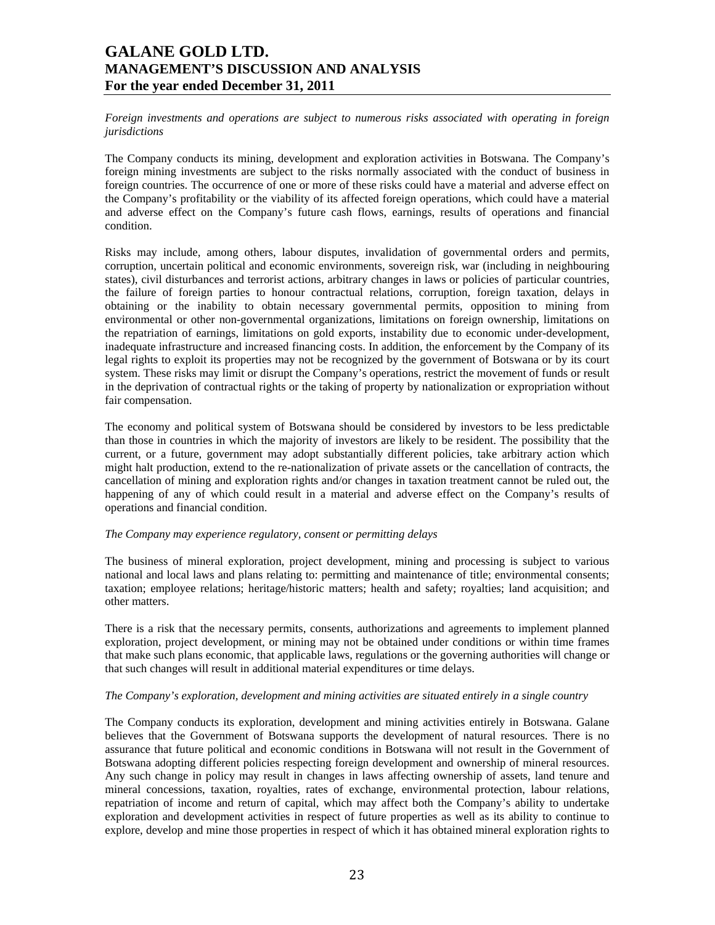*Foreign investments and operations are subject to numerous risks associated with operating in foreign jurisdictions* 

The Company conducts its mining, development and exploration activities in Botswana. The Company's foreign mining investments are subject to the risks normally associated with the conduct of business in foreign countries. The occurrence of one or more of these risks could have a material and adverse effect on the Company's profitability or the viability of its affected foreign operations, which could have a material and adverse effect on the Company's future cash flows, earnings, results of operations and financial condition.

Risks may include, among others, labour disputes, invalidation of governmental orders and permits, corruption, uncertain political and economic environments, sovereign risk, war (including in neighbouring states), civil disturbances and terrorist actions, arbitrary changes in laws or policies of particular countries, the failure of foreign parties to honour contractual relations, corruption, foreign taxation, delays in obtaining or the inability to obtain necessary governmental permits, opposition to mining from environmental or other non-governmental organizations, limitations on foreign ownership, limitations on the repatriation of earnings, limitations on gold exports, instability due to economic under-development, inadequate infrastructure and increased financing costs. In addition, the enforcement by the Company of its legal rights to exploit its properties may not be recognized by the government of Botswana or by its court system. These risks may limit or disrupt the Company's operations, restrict the movement of funds or result in the deprivation of contractual rights or the taking of property by nationalization or expropriation without fair compensation.

The economy and political system of Botswana should be considered by investors to be less predictable than those in countries in which the majority of investors are likely to be resident. The possibility that the current, or a future, government may adopt substantially different policies, take arbitrary action which might halt production, extend to the re-nationalization of private assets or the cancellation of contracts, the cancellation of mining and exploration rights and/or changes in taxation treatment cannot be ruled out, the happening of any of which could result in a material and adverse effect on the Company's results of operations and financial condition.

### *The Company may experience regulatory, consent or permitting delays*

The business of mineral exploration, project development, mining and processing is subject to various national and local laws and plans relating to: permitting and maintenance of title; environmental consents; taxation; employee relations; heritage/historic matters; health and safety; royalties; land acquisition; and other matters.

There is a risk that the necessary permits, consents, authorizations and agreements to implement planned exploration, project development, or mining may not be obtained under conditions or within time frames that make such plans economic, that applicable laws, regulations or the governing authorities will change or that such changes will result in additional material expenditures or time delays.

#### *The Company's exploration, development and mining activities are situated entirely in a single country*

The Company conducts its exploration, development and mining activities entirely in Botswana. Galane believes that the Government of Botswana supports the development of natural resources. There is no assurance that future political and economic conditions in Botswana will not result in the Government of Botswana adopting different policies respecting foreign development and ownership of mineral resources. Any such change in policy may result in changes in laws affecting ownership of assets, land tenure and mineral concessions, taxation, royalties, rates of exchange, environmental protection, labour relations, repatriation of income and return of capital, which may affect both the Company's ability to undertake exploration and development activities in respect of future properties as well as its ability to continue to explore, develop and mine those properties in respect of which it has obtained mineral exploration rights to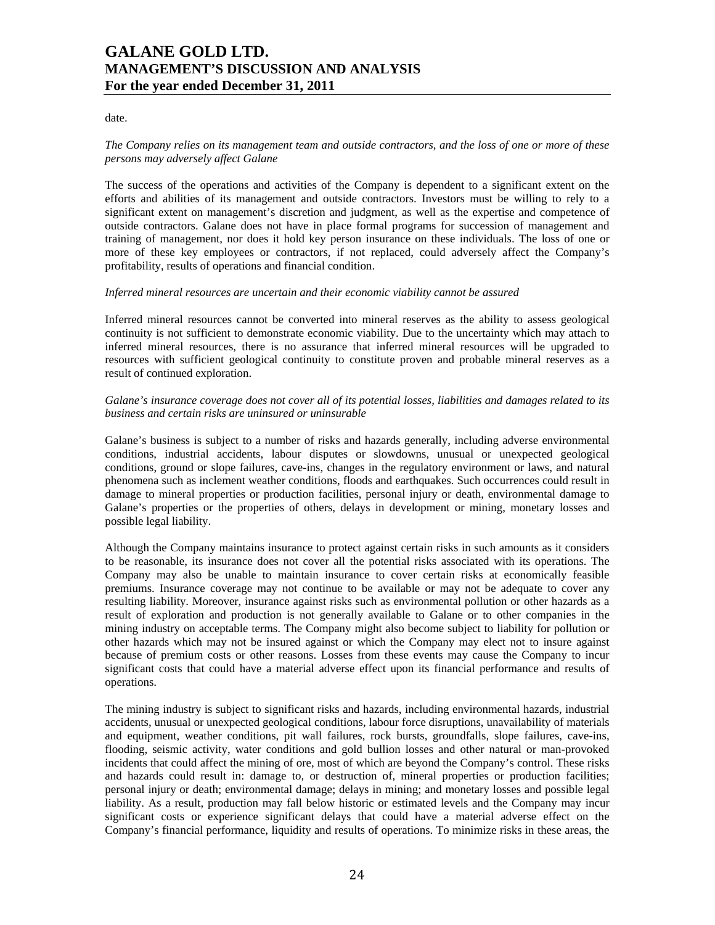date.

## *The Company relies on its management team and outside contractors, and the loss of one or more of these persons may adversely affect Galane*

The success of the operations and activities of the Company is dependent to a significant extent on the efforts and abilities of its management and outside contractors. Investors must be willing to rely to a significant extent on management's discretion and judgment, as well as the expertise and competence of outside contractors. Galane does not have in place formal programs for succession of management and training of management, nor does it hold key person insurance on these individuals. The loss of one or more of these key employees or contractors, if not replaced, could adversely affect the Company's profitability, results of operations and financial condition.

#### *Inferred mineral resources are uncertain and their economic viability cannot be assured*

Inferred mineral resources cannot be converted into mineral reserves as the ability to assess geological continuity is not sufficient to demonstrate economic viability. Due to the uncertainty which may attach to inferred mineral resources, there is no assurance that inferred mineral resources will be upgraded to resources with sufficient geological continuity to constitute proven and probable mineral reserves as a result of continued exploration.

## *Galane's insurance coverage does not cover all of its potential losses, liabilities and damages related to its business and certain risks are uninsured or uninsurable*

Galane's business is subject to a number of risks and hazards generally, including adverse environmental conditions, industrial accidents, labour disputes or slowdowns, unusual or unexpected geological conditions, ground or slope failures, cave-ins, changes in the regulatory environment or laws, and natural phenomena such as inclement weather conditions, floods and earthquakes. Such occurrences could result in damage to mineral properties or production facilities, personal injury or death, environmental damage to Galane's properties or the properties of others, delays in development or mining, monetary losses and possible legal liability.

Although the Company maintains insurance to protect against certain risks in such amounts as it considers to be reasonable, its insurance does not cover all the potential risks associated with its operations. The Company may also be unable to maintain insurance to cover certain risks at economically feasible premiums. Insurance coverage may not continue to be available or may not be adequate to cover any resulting liability. Moreover, insurance against risks such as environmental pollution or other hazards as a result of exploration and production is not generally available to Galane or to other companies in the mining industry on acceptable terms. The Company might also become subject to liability for pollution or other hazards which may not be insured against or which the Company may elect not to insure against because of premium costs or other reasons. Losses from these events may cause the Company to incur significant costs that could have a material adverse effect upon its financial performance and results of operations.

The mining industry is subject to significant risks and hazards, including environmental hazards, industrial accidents, unusual or unexpected geological conditions, labour force disruptions, unavailability of materials and equipment, weather conditions, pit wall failures, rock bursts, groundfalls, slope failures, cave-ins, flooding, seismic activity, water conditions and gold bullion losses and other natural or man-provoked incidents that could affect the mining of ore, most of which are beyond the Company's control. These risks and hazards could result in: damage to, or destruction of, mineral properties or production facilities; personal injury or death; environmental damage; delays in mining; and monetary losses and possible legal liability. As a result, production may fall below historic or estimated levels and the Company may incur significant costs or experience significant delays that could have a material adverse effect on the Company's financial performance, liquidity and results of operations. To minimize risks in these areas, the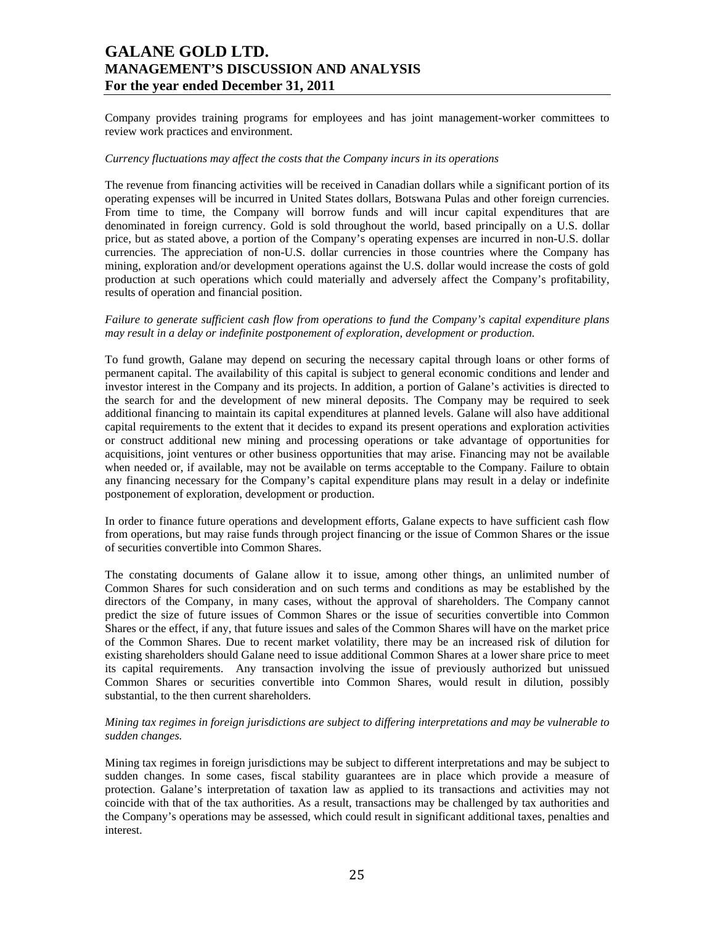Company provides training programs for employees and has joint management-worker committees to review work practices and environment.

### *Currency fluctuations may affect the costs that the Company incurs in its operations*

The revenue from financing activities will be received in Canadian dollars while a significant portion of its operating expenses will be incurred in United States dollars, Botswana Pulas and other foreign currencies. From time to time, the Company will borrow funds and will incur capital expenditures that are denominated in foreign currency. Gold is sold throughout the world, based principally on a U.S. dollar price, but as stated above, a portion of the Company's operating expenses are incurred in non-U.S. dollar currencies. The appreciation of non-U.S. dollar currencies in those countries where the Company has mining, exploration and/or development operations against the U.S. dollar would increase the costs of gold production at such operations which could materially and adversely affect the Company's profitability, results of operation and financial position.

### *Failure to generate sufficient cash flow from operations to fund the Company's capital expenditure plans may result in a delay or indefinite postponement of exploration, development or production.*

To fund growth, Galane may depend on securing the necessary capital through loans or other forms of permanent capital. The availability of this capital is subject to general economic conditions and lender and investor interest in the Company and its projects. In addition, a portion of Galane's activities is directed to the search for and the development of new mineral deposits. The Company may be required to seek additional financing to maintain its capital expenditures at planned levels. Galane will also have additional capital requirements to the extent that it decides to expand its present operations and exploration activities or construct additional new mining and processing operations or take advantage of opportunities for acquisitions, joint ventures or other business opportunities that may arise. Financing may not be available when needed or, if available, may not be available on terms acceptable to the Company. Failure to obtain any financing necessary for the Company's capital expenditure plans may result in a delay or indefinite postponement of exploration, development or production.

In order to finance future operations and development efforts, Galane expects to have sufficient cash flow from operations, but may raise funds through project financing or the issue of Common Shares or the issue of securities convertible into Common Shares.

The constating documents of Galane allow it to issue, among other things, an unlimited number of Common Shares for such consideration and on such terms and conditions as may be established by the directors of the Company, in many cases, without the approval of shareholders. The Company cannot predict the size of future issues of Common Shares or the issue of securities convertible into Common Shares or the effect, if any, that future issues and sales of the Common Shares will have on the market price of the Common Shares. Due to recent market volatility, there may be an increased risk of dilution for existing shareholders should Galane need to issue additional Common Shares at a lower share price to meet its capital requirements. Any transaction involving the issue of previously authorized but unissued Common Shares or securities convertible into Common Shares, would result in dilution, possibly substantial, to the then current shareholders.

### *Mining tax regimes in foreign jurisdictions are subject to differing interpretations and may be vulnerable to sudden changes.*

Mining tax regimes in foreign jurisdictions may be subject to different interpretations and may be subject to sudden changes. In some cases, fiscal stability guarantees are in place which provide a measure of protection. Galane's interpretation of taxation law as applied to its transactions and activities may not coincide with that of the tax authorities. As a result, transactions may be challenged by tax authorities and the Company's operations may be assessed, which could result in significant additional taxes, penalties and interest.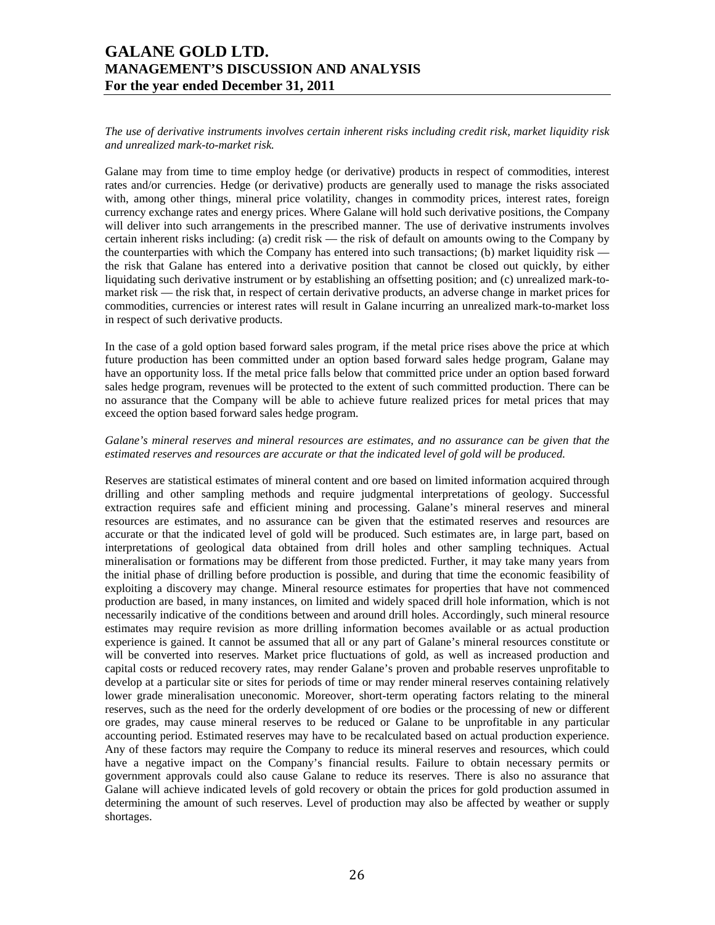*The use of derivative instruments involves certain inherent risks including credit risk, market liquidity risk and unrealized mark-to-market risk.* 

Galane may from time to time employ hedge (or derivative) products in respect of commodities, interest rates and/or currencies. Hedge (or derivative) products are generally used to manage the risks associated with, among other things, mineral price volatility, changes in commodity prices, interest rates, foreign currency exchange rates and energy prices. Where Galane will hold such derivative positions, the Company will deliver into such arrangements in the prescribed manner. The use of derivative instruments involves certain inherent risks including: (a) credit risk — the risk of default on amounts owing to the Company by the counterparties with which the Company has entered into such transactions; (b) market liquidity risk the risk that Galane has entered into a derivative position that cannot be closed out quickly, by either liquidating such derivative instrument or by establishing an offsetting position; and (c) unrealized mark-tomarket risk — the risk that, in respect of certain derivative products, an adverse change in market prices for commodities, currencies or interest rates will result in Galane incurring an unrealized mark-to-market loss in respect of such derivative products.

In the case of a gold option based forward sales program, if the metal price rises above the price at which future production has been committed under an option based forward sales hedge program, Galane may have an opportunity loss. If the metal price falls below that committed price under an option based forward sales hedge program, revenues will be protected to the extent of such committed production. There can be no assurance that the Company will be able to achieve future realized prices for metal prices that may exceed the option based forward sales hedge program.

## *Galane's mineral reserves and mineral resources are estimates, and no assurance can be given that the estimated reserves and resources are accurate or that the indicated level of gold will be produced.*

Reserves are statistical estimates of mineral content and ore based on limited information acquired through drilling and other sampling methods and require judgmental interpretations of geology. Successful extraction requires safe and efficient mining and processing. Galane's mineral reserves and mineral resources are estimates, and no assurance can be given that the estimated reserves and resources are accurate or that the indicated level of gold will be produced. Such estimates are, in large part, based on interpretations of geological data obtained from drill holes and other sampling techniques. Actual mineralisation or formations may be different from those predicted. Further, it may take many years from the initial phase of drilling before production is possible, and during that time the economic feasibility of exploiting a discovery may change. Mineral resource estimates for properties that have not commenced production are based, in many instances, on limited and widely spaced drill hole information, which is not necessarily indicative of the conditions between and around drill holes. Accordingly, such mineral resource estimates may require revision as more drilling information becomes available or as actual production experience is gained. It cannot be assumed that all or any part of Galane's mineral resources constitute or will be converted into reserves. Market price fluctuations of gold, as well as increased production and capital costs or reduced recovery rates, may render Galane's proven and probable reserves unprofitable to develop at a particular site or sites for periods of time or may render mineral reserves containing relatively lower grade mineralisation uneconomic. Moreover, short-term operating factors relating to the mineral reserves, such as the need for the orderly development of ore bodies or the processing of new or different ore grades, may cause mineral reserves to be reduced or Galane to be unprofitable in any particular accounting period. Estimated reserves may have to be recalculated based on actual production experience. Any of these factors may require the Company to reduce its mineral reserves and resources, which could have a negative impact on the Company's financial results. Failure to obtain necessary permits or government approvals could also cause Galane to reduce its reserves. There is also no assurance that Galane will achieve indicated levels of gold recovery or obtain the prices for gold production assumed in determining the amount of such reserves. Level of production may also be affected by weather or supply shortages.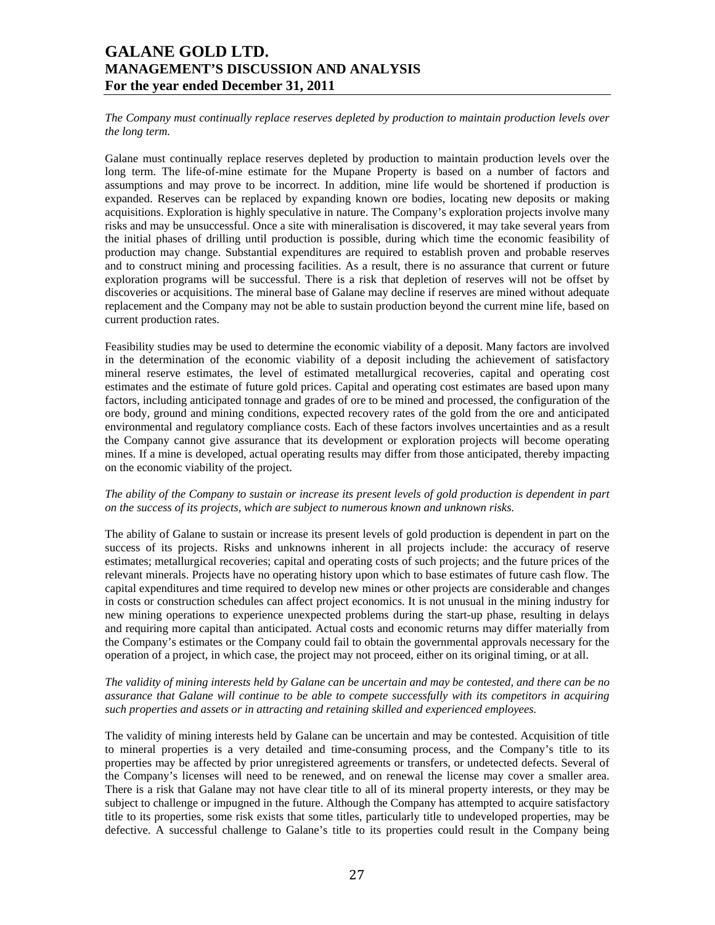*The Company must continually replace reserves depleted by production to maintain production levels over the long term.* 

Galane must continually replace reserves depleted by production to maintain production levels over the long term. The life-of-mine estimate for the Mupane Property is based on a number of factors and assumptions and may prove to be incorrect. In addition, mine life would be shortened if production is expanded. Reserves can be replaced by expanding known ore bodies, locating new deposits or making acquisitions. Exploration is highly speculative in nature. The Company's exploration projects involve many risks and may be unsuccessful. Once a site with mineralisation is discovered, it may take several years from the initial phases of drilling until production is possible, during which time the economic feasibility of production may change. Substantial expenditures are required to establish proven and probable reserves and to construct mining and processing facilities. As a result, there is no assurance that current or future exploration programs will be successful. There is a risk that depletion of reserves will not be offset by discoveries or acquisitions. The mineral base of Galane may decline if reserves are mined without adequate replacement and the Company may not be able to sustain production beyond the current mine life, based on current production rates.

Feasibility studies may be used to determine the economic viability of a deposit. Many factors are involved in the determination of the economic viability of a deposit including the achievement of satisfactory mineral reserve estimates, the level of estimated metallurgical recoveries, capital and operating cost estimates and the estimate of future gold prices. Capital and operating cost estimates are based upon many factors, including anticipated tonnage and grades of ore to be mined and processed, the configuration of the ore body, ground and mining conditions, expected recovery rates of the gold from the ore and anticipated environmental and regulatory compliance costs. Each of these factors involves uncertainties and as a result the Company cannot give assurance that its development or exploration projects will become operating mines. If a mine is developed, actual operating results may differ from those anticipated, thereby impacting on the economic viability of the project.

### *The ability of the Company to sustain or increase its present levels of gold production is dependent in part on the success of its projects, which are subject to numerous known and unknown risks.*

The ability of Galane to sustain or increase its present levels of gold production is dependent in part on the success of its projects. Risks and unknowns inherent in all projects include: the accuracy of reserve estimates; metallurgical recoveries; capital and operating costs of such projects; and the future prices of the relevant minerals. Projects have no operating history upon which to base estimates of future cash flow. The capital expenditures and time required to develop new mines or other projects are considerable and changes in costs or construction schedules can affect project economics. It is not unusual in the mining industry for new mining operations to experience unexpected problems during the start-up phase, resulting in delays and requiring more capital than anticipated. Actual costs and economic returns may differ materially from the Company's estimates or the Company could fail to obtain the governmental approvals necessary for the operation of a project, in which case, the project may not proceed, either on its original timing, or at all.

## *The validity of mining interests held by Galane can be uncertain and may be contested, and there can be no assurance that Galane will continue to be able to compete successfully with its competitors in acquiring such properties and assets or in attracting and retaining skilled and experienced employees.*

The validity of mining interests held by Galane can be uncertain and may be contested. Acquisition of title to mineral properties is a very detailed and time-consuming process, and the Company's title to its properties may be affected by prior unregistered agreements or transfers, or undetected defects. Several of the Company's licenses will need to be renewed, and on renewal the license may cover a smaller area. There is a risk that Galane may not have clear title to all of its mineral property interests, or they may be subject to challenge or impugned in the future. Although the Company has attempted to acquire satisfactory title to its properties, some risk exists that some titles, particularly title to undeveloped properties, may be defective. A successful challenge to Galane's title to its properties could result in the Company being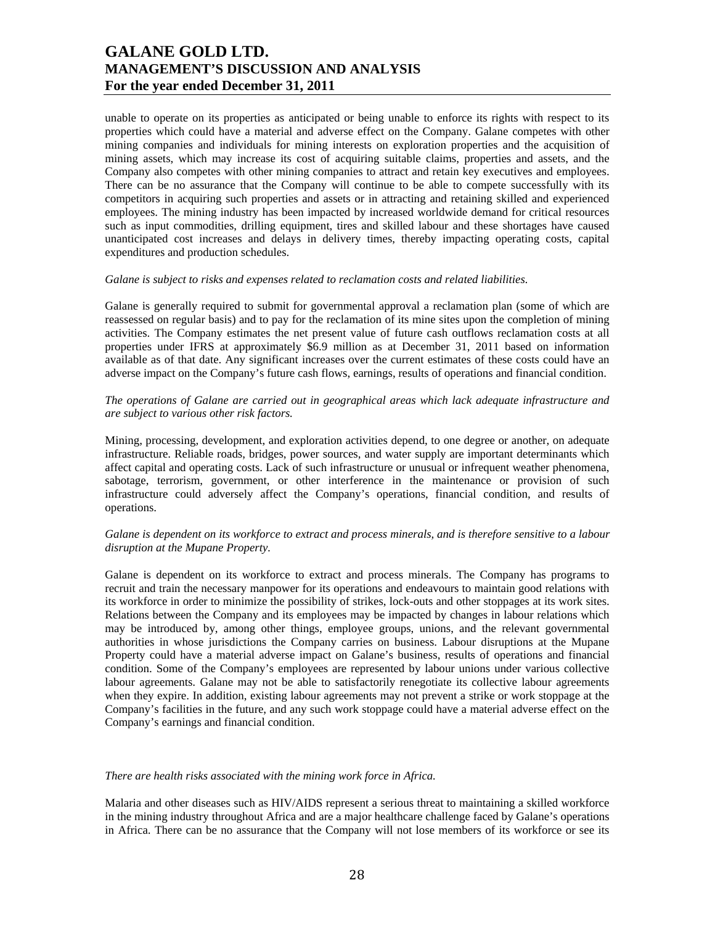unable to operate on its properties as anticipated or being unable to enforce its rights with respect to its properties which could have a material and adverse effect on the Company. Galane competes with other mining companies and individuals for mining interests on exploration properties and the acquisition of mining assets, which may increase its cost of acquiring suitable claims, properties and assets, and the Company also competes with other mining companies to attract and retain key executives and employees. There can be no assurance that the Company will continue to be able to compete successfully with its competitors in acquiring such properties and assets or in attracting and retaining skilled and experienced employees. The mining industry has been impacted by increased worldwide demand for critical resources such as input commodities, drilling equipment, tires and skilled labour and these shortages have caused unanticipated cost increases and delays in delivery times, thereby impacting operating costs, capital expenditures and production schedules.

### *Galane is subject to risks and expenses related to reclamation costs and related liabilities.*

Galane is generally required to submit for governmental approval a reclamation plan (some of which are reassessed on regular basis) and to pay for the reclamation of its mine sites upon the completion of mining activities. The Company estimates the net present value of future cash outflows reclamation costs at all properties under IFRS at approximately \$6.9 million as at December 31, 2011 based on information available as of that date. Any significant increases over the current estimates of these costs could have an adverse impact on the Company's future cash flows, earnings, results of operations and financial condition.

## *The operations of Galane are carried out in geographical areas which lack adequate infrastructure and are subject to various other risk factors.*

Mining, processing, development, and exploration activities depend, to one degree or another, on adequate infrastructure. Reliable roads, bridges, power sources, and water supply are important determinants which affect capital and operating costs. Lack of such infrastructure or unusual or infrequent weather phenomena, sabotage, terrorism, government, or other interference in the maintenance or provision of such infrastructure could adversely affect the Company's operations, financial condition, and results of operations.

## *Galane is dependent on its workforce to extract and process minerals, and is therefore sensitive to a labour disruption at the Mupane Property.*

Galane is dependent on its workforce to extract and process minerals. The Company has programs to recruit and train the necessary manpower for its operations and endeavours to maintain good relations with its workforce in order to minimize the possibility of strikes, lock-outs and other stoppages at its work sites. Relations between the Company and its employees may be impacted by changes in labour relations which may be introduced by, among other things, employee groups, unions, and the relevant governmental authorities in whose jurisdictions the Company carries on business. Labour disruptions at the Mupane Property could have a material adverse impact on Galane's business, results of operations and financial condition. Some of the Company's employees are represented by labour unions under various collective labour agreements. Galane may not be able to satisfactorily renegotiate its collective labour agreements when they expire. In addition, existing labour agreements may not prevent a strike or work stoppage at the Company's facilities in the future, and any such work stoppage could have a material adverse effect on the Company's earnings and financial condition.

#### *There are health risks associated with the mining work force in Africa.*

Malaria and other diseases such as HIV/AIDS represent a serious threat to maintaining a skilled workforce in the mining industry throughout Africa and are a major healthcare challenge faced by Galane's operations in Africa. There can be no assurance that the Company will not lose members of its workforce or see its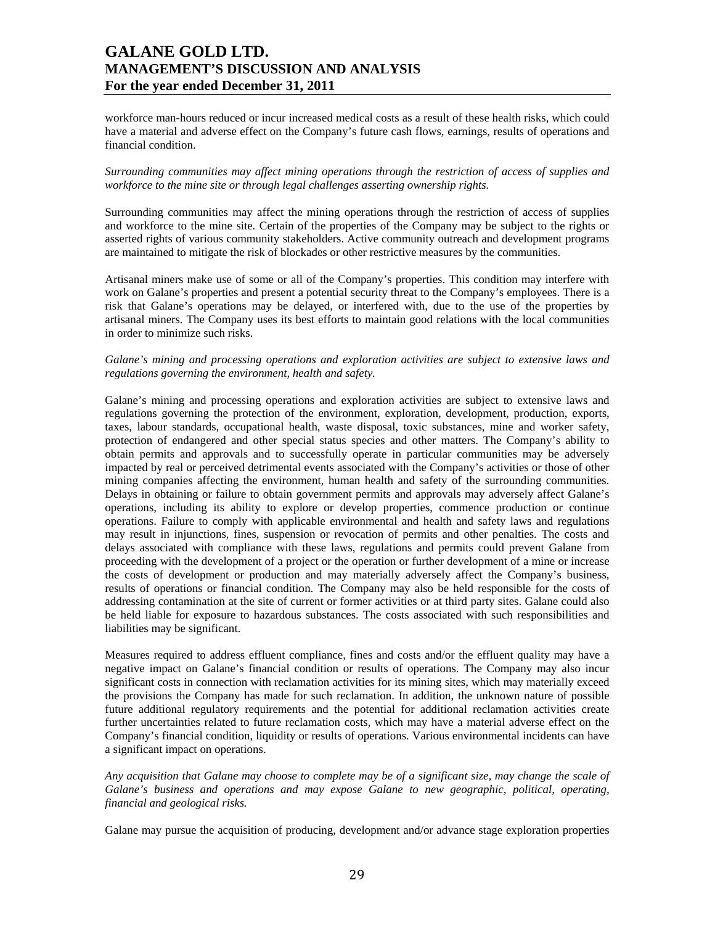workforce man-hours reduced or incur increased medical costs as a result of these health risks, which could have a material and adverse effect on the Company's future cash flows, earnings, results of operations and financial condition.

### *Surrounding communities may affect mining operations through the restriction of access of supplies and workforce to the mine site or through legal challenges asserting ownership rights.*

Surrounding communities may affect the mining operations through the restriction of access of supplies and workforce to the mine site. Certain of the properties of the Company may be subject to the rights or asserted rights of various community stakeholders. Active community outreach and development programs are maintained to mitigate the risk of blockades or other restrictive measures by the communities.

Artisanal miners make use of some or all of the Company's properties. This condition may interfere with work on Galane's properties and present a potential security threat to the Company's employees. There is a risk that Galane's operations may be delayed, or interfered with, due to the use of the properties by artisanal miners. The Company uses its best efforts to maintain good relations with the local communities in order to minimize such risks.

## *Galane's mining and processing operations and exploration activities are subject to extensive laws and regulations governing the environment, health and safety.*

Galane's mining and processing operations and exploration activities are subject to extensive laws and regulations governing the protection of the environment, exploration, development, production, exports, taxes, labour standards, occupational health, waste disposal, toxic substances, mine and worker safety, protection of endangered and other special status species and other matters. The Company's ability to obtain permits and approvals and to successfully operate in particular communities may be adversely impacted by real or perceived detrimental events associated with the Company's activities or those of other mining companies affecting the environment, human health and safety of the surrounding communities. Delays in obtaining or failure to obtain government permits and approvals may adversely affect Galane's operations, including its ability to explore or develop properties, commence production or continue operations. Failure to comply with applicable environmental and health and safety laws and regulations may result in injunctions, fines, suspension or revocation of permits and other penalties. The costs and delays associated with compliance with these laws, regulations and permits could prevent Galane from proceeding with the development of a project or the operation or further development of a mine or increase the costs of development or production and may materially adversely affect the Company's business, results of operations or financial condition. The Company may also be held responsible for the costs of addressing contamination at the site of current or former activities or at third party sites. Galane could also be held liable for exposure to hazardous substances. The costs associated with such responsibilities and liabilities may be significant.

Measures required to address effluent compliance, fines and costs and/or the effluent quality may have a negative impact on Galane's financial condition or results of operations. The Company may also incur significant costs in connection with reclamation activities for its mining sites, which may materially exceed the provisions the Company has made for such reclamation. In addition, the unknown nature of possible future additional regulatory requirements and the potential for additional reclamation activities create further uncertainties related to future reclamation costs, which may have a material adverse effect on the Company's financial condition, liquidity or results of operations. Various environmental incidents can have a significant impact on operations.

*Any acquisition that Galane may choose to complete may be of a significant size, may change the scale of Galane's business and operations and may expose Galane to new geographic, political, operating, financial and geological risks.* 

Galane may pursue the acquisition of producing, development and/or advance stage exploration properties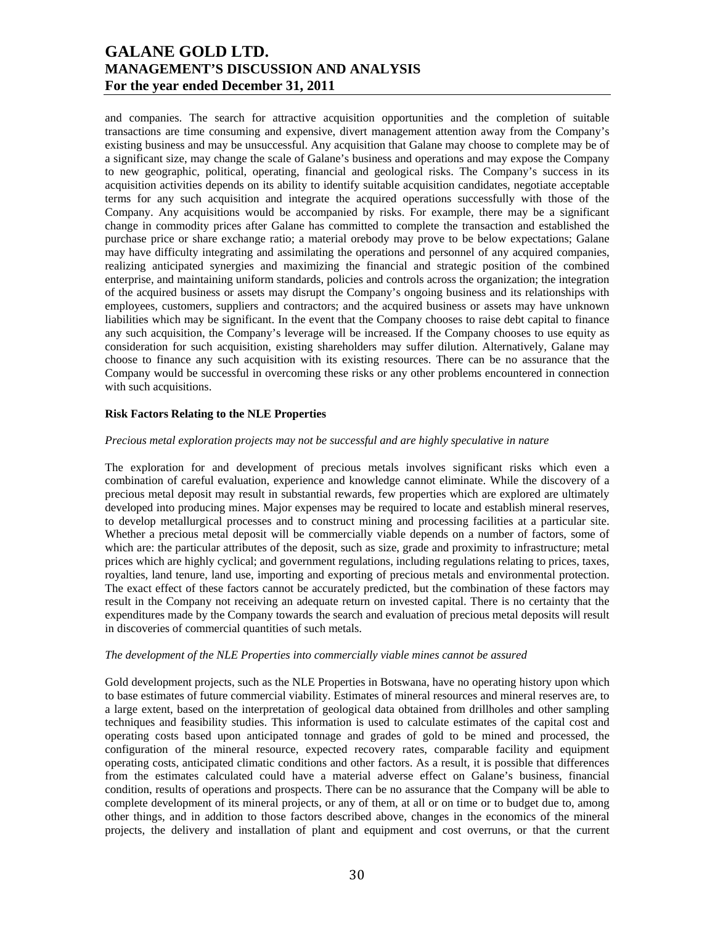and companies. The search for attractive acquisition opportunities and the completion of suitable transactions are time consuming and expensive, divert management attention away from the Company's existing business and may be unsuccessful. Any acquisition that Galane may choose to complete may be of a significant size, may change the scale of Galane's business and operations and may expose the Company to new geographic, political, operating, financial and geological risks. The Company's success in its acquisition activities depends on its ability to identify suitable acquisition candidates, negotiate acceptable terms for any such acquisition and integrate the acquired operations successfully with those of the Company. Any acquisitions would be accompanied by risks. For example, there may be a significant change in commodity prices after Galane has committed to complete the transaction and established the purchase price or share exchange ratio; a material orebody may prove to be below expectations; Galane may have difficulty integrating and assimilating the operations and personnel of any acquired companies, realizing anticipated synergies and maximizing the financial and strategic position of the combined enterprise, and maintaining uniform standards, policies and controls across the organization; the integration of the acquired business or assets may disrupt the Company's ongoing business and its relationships with employees, customers, suppliers and contractors; and the acquired business or assets may have unknown liabilities which may be significant. In the event that the Company chooses to raise debt capital to finance any such acquisition, the Company's leverage will be increased. If the Company chooses to use equity as consideration for such acquisition, existing shareholders may suffer dilution. Alternatively, Galane may choose to finance any such acquisition with its existing resources. There can be no assurance that the Company would be successful in overcoming these risks or any other problems encountered in connection with such acquisitions.

## **Risk Factors Relating to the NLE Properties**

#### *Precious metal exploration projects may not be successful and are highly speculative in nature*

The exploration for and development of precious metals involves significant risks which even a combination of careful evaluation, experience and knowledge cannot eliminate. While the discovery of a precious metal deposit may result in substantial rewards, few properties which are explored are ultimately developed into producing mines. Major expenses may be required to locate and establish mineral reserves, to develop metallurgical processes and to construct mining and processing facilities at a particular site. Whether a precious metal deposit will be commercially viable depends on a number of factors, some of which are: the particular attributes of the deposit, such as size, grade and proximity to infrastructure; metal prices which are highly cyclical; and government regulations, including regulations relating to prices, taxes, royalties, land tenure, land use, importing and exporting of precious metals and environmental protection. The exact effect of these factors cannot be accurately predicted, but the combination of these factors may result in the Company not receiving an adequate return on invested capital. There is no certainty that the expenditures made by the Company towards the search and evaluation of precious metal deposits will result in discoveries of commercial quantities of such metals.

#### *The development of the NLE Properties into commercially viable mines cannot be assured*

Gold development projects, such as the NLE Properties in Botswana, have no operating history upon which to base estimates of future commercial viability. Estimates of mineral resources and mineral reserves are, to a large extent, based on the interpretation of geological data obtained from drillholes and other sampling techniques and feasibility studies. This information is used to calculate estimates of the capital cost and operating costs based upon anticipated tonnage and grades of gold to be mined and processed, the configuration of the mineral resource, expected recovery rates, comparable facility and equipment operating costs, anticipated climatic conditions and other factors. As a result, it is possible that differences from the estimates calculated could have a material adverse effect on Galane's business, financial condition, results of operations and prospects. There can be no assurance that the Company will be able to complete development of its mineral projects, or any of them, at all or on time or to budget due to, among other things, and in addition to those factors described above, changes in the economics of the mineral projects, the delivery and installation of plant and equipment and cost overruns, or that the current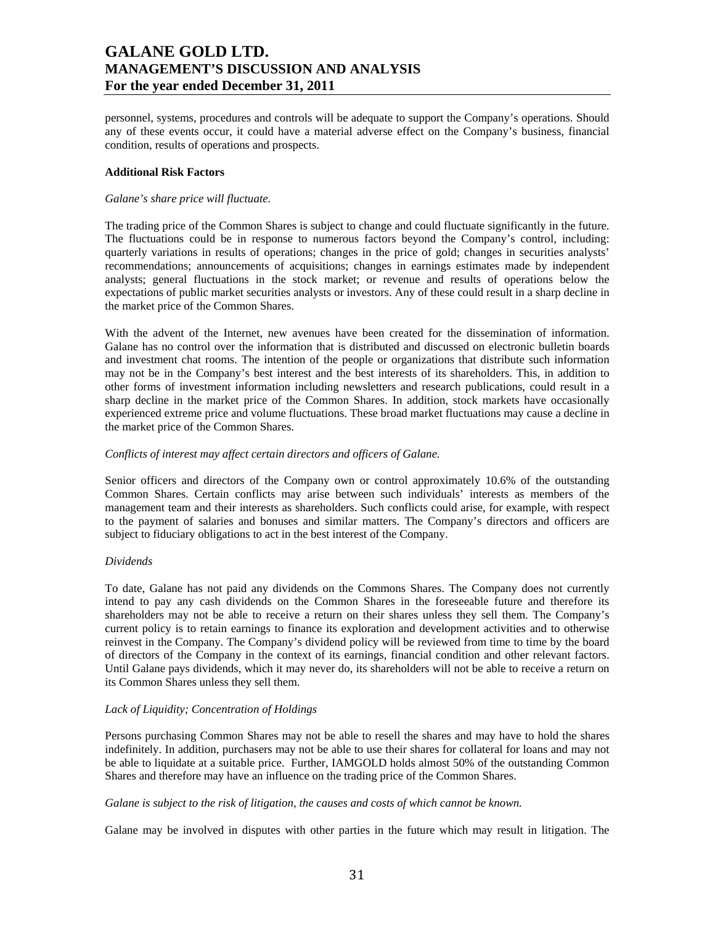personnel, systems, procedures and controls will be adequate to support the Company's operations. Should any of these events occur, it could have a material adverse effect on the Company's business, financial condition, results of operations and prospects.

#### **Additional Risk Factors**

### *Galane's share price will fluctuate.*

The trading price of the Common Shares is subject to change and could fluctuate significantly in the future. The fluctuations could be in response to numerous factors beyond the Company's control, including: quarterly variations in results of operations; changes in the price of gold; changes in securities analysts' recommendations; announcements of acquisitions; changes in earnings estimates made by independent analysts; general fluctuations in the stock market; or revenue and results of operations below the expectations of public market securities analysts or investors. Any of these could result in a sharp decline in the market price of the Common Shares.

With the advent of the Internet, new avenues have been created for the dissemination of information. Galane has no control over the information that is distributed and discussed on electronic bulletin boards and investment chat rooms. The intention of the people or organizations that distribute such information may not be in the Company's best interest and the best interests of its shareholders. This, in addition to other forms of investment information including newsletters and research publications, could result in a sharp decline in the market price of the Common Shares. In addition, stock markets have occasionally experienced extreme price and volume fluctuations. These broad market fluctuations may cause a decline in the market price of the Common Shares.

### *Conflicts of interest may affect certain directors and officers of Galane.*

Senior officers and directors of the Company own or control approximately 10.6% of the outstanding Common Shares. Certain conflicts may arise between such individuals' interests as members of the management team and their interests as shareholders. Such conflicts could arise, for example, with respect to the payment of salaries and bonuses and similar matters. The Company's directors and officers are subject to fiduciary obligations to act in the best interest of the Company.

## *Dividends*

To date, Galane has not paid any dividends on the Commons Shares. The Company does not currently intend to pay any cash dividends on the Common Shares in the foreseeable future and therefore its shareholders may not be able to receive a return on their shares unless they sell them. The Company's current policy is to retain earnings to finance its exploration and development activities and to otherwise reinvest in the Company. The Company's dividend policy will be reviewed from time to time by the board of directors of the Company in the context of its earnings, financial condition and other relevant factors. Until Galane pays dividends, which it may never do, its shareholders will not be able to receive a return on its Common Shares unless they sell them.

## *Lack of Liquidity; Concentration of Holdings*

Persons purchasing Common Shares may not be able to resell the shares and may have to hold the shares indefinitely. In addition, purchasers may not be able to use their shares for collateral for loans and may not be able to liquidate at a suitable price. Further, IAMGOLD holds almost 50% of the outstanding Common Shares and therefore may have an influence on the trading price of the Common Shares.

## *Galane is subject to the risk of litigation, the causes and costs of which cannot be known.*

Galane may be involved in disputes with other parties in the future which may result in litigation. The